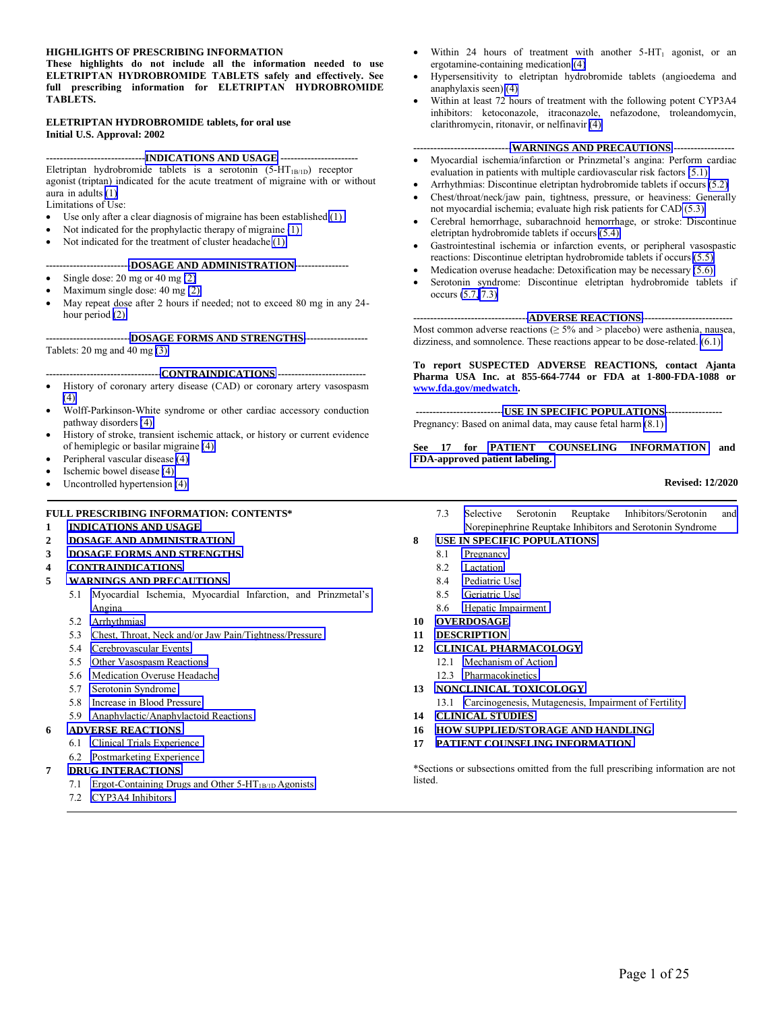#### **HIGHLIGHTS OF PRESCRIBING INFORMATION**

**These highlights do not include all the information needed to use ELETRIPTAN HYDROBROMIDE TABLETS safely and effectively. See full prescribing information for ELETRIPTAN HYDROBROMIDE TABLETS.**

#### **ELETRIPTAN HYDROBROMIDE tablets, for oral use Initial U.S. Approval: 2002**

#### **-----------------------------[INDICATIONS AND USAGE](#page-1-0) -----------------------**

Eletriptan hydrobromide tablets is a serotonin (5-HT<sub>1B/1D</sub>) receptor agonist (triptan) indicated for the acute treatment of migraine with or without aura in adults [\(1\)](#page-1-0) Limitations of Use:

- Use only after a clear diagnosis of migraine has been established [\(1\)](#page-1-0)
- Not indicated for the prophylactic therapy of migraine [\(1\)](#page-1-0)
- Not indicated for the treatment of cluster headache [\(1\)](#page-1-0)

#### **------------------------[-DOSAGE AND ADMINISTRATION-](#page-1-0)---------------**

- $\bullet$  Single dose: 20 mg or 40 mg [\(2\)](#page-1-0)
- Maximum single dose: 40 mg [\(2\)](#page-1-0)
- May repeat dose after 2 hours if needed; not to exceed 80 mg in any 24 hour period [\(2\)](#page-1-0)

**------------------------[-DOSAGE FORMS AND STRENGTHS-](#page-1-0)------------------** Tablets: 20 mg and 40 mg [\(3\)](#page-1-0)

#### **---------------------------------[-CONTRAINDICATIONS](#page-1-0) --------------------------**

- History of coronary artery disease (CAD) or coronary artery vasospasm  $(4)$
- Wolff-Parkinson-White syndrome or other cardiac accessory conduction pathway disorders [\(4\)](#page-1-0)
- History of stroke, transient ischemic attack, or history or current evidence of hemiplegic or basilar migraine [\(4\)](#page-1-0)
- Peripheral vascular disease [\(4\)](#page-1-0)
- Ischemic bowel disease [\(4\)](#page-1-0)
- Uncontrolled hypertension [\(4\)](#page-1-0)

#### **FULL PRESCRIBING INFORMATION: CONTENTS\***

- **1 [INDICATIONS AND USAGE](#page-1-0)**
- **2 [DOSAGE AND ADMINISTRATION](#page-1-0)**
- **3 [DOSAGE FORMS AND STRENGTHS](#page-1-0)**
- **4 [CONTRAINDICATIONS](#page-1-0)**
- **5 [WARNINGS AND PRECAUTIONS](#page-2-0)** 
	- 5.1 [Myocardial Ischemia, Myocardial Infarction, and Prinzmetal's](#page-2-0) Angina
	- 5.2 [Arrhythmias](#page-2-0)
	- 5.3 [Chest, Throat, Neck and/or Jaw Pain/Tightness/Pressure](#page-3-1)
	- 5.4 [Cerebrovascular Events](#page-3-0)
	- 5.5 [Other Vasospasm Reactions](#page-3-0)
	- 5.6 [Medication Overuse Headache](#page-3-0)
	- 5.7 [Serotonin Syndrome](#page-3-0)
	- 5.8 [Increase in Blood Pressure](#page-4-1)
	- 5.9 [Anaphylactic/Anaphylactoid Reactions](#page-4-0)

#### **6 [ADVERSE REACTIONS](#page-4-0)**

- 6.1 [Clinical Trials Experience](#page-5-0)
- 6.2 [Postmarketing Experience](#page-6-1)

#### **7 [DRUG INTERACTIONS](#page-6-0)**

- 7.1 [Ergot-Containing Drugs and Other 5-HT](#page-6-0)<sub>1B/1D</sub> Agonists
- 7.2 [CYP3A4 Inhibitors](#page-6-0)
- Within 24 hours of treatment with another 5-HT<sub>1</sub> agonist, or an ergotamine-containing medication [\(4\)](#page-1-0)
- Hypersensitivity to eletriptan hydrobromide tablets (angioedema and anaphylaxis seen) [\(4\)](#page-1-0)
- Within at least 72 hours of treatment with the following potent CYP3A4 inhibitors: ketoconazole, itraconazole, nefazodone, troleandomycin, clarithromycin, ritonavir, or nelfinavir [\(4\)](#page-1-0)

#### **----------------------------[-WARNINGS AND PRECAUTIONS](#page-2-0) ------------------**

- Myocardial ischemia/infarction or Prinzmetal's angina: Perform cardiac evaluation in patients with multiple cardiovascular risk factors [\(5.1\)](#page-2-0)
- Arrhythmias: Discontinue eletriptan hydrobromide tablets if occurs [\(5.2\)](#page-2-0) Chest/throat/neck/jaw pain, tightness, pressure, or heaviness: Generally
- not myocardial ischemia; evaluate high risk patients for CAD [\(5.3\)](#page-3-1) Cerebral hemorrhage, subarachnoid hemorrhage, or stroke: Discontinue
- eletriptan hydrobromide tablets if occurs [\(5.4\)](#page-3-0) Gastrointestinal ischemia or infarction events, or peripheral vasospastic
- reactions: Discontinue eletriptan hydrobromide tablets if occurs [\(5.5\)](#page-3-0)
- Medication overuse headache: Detoxification may be necessary [\(5.6\)](#page-3-0)
- Serotonin syndrome: Discontinue eletriptan hydrobromide tablets if occurs [\(5.7,](#page-3-0) [7.3\)](#page-6-0)

**---------------------------------[-ADVERSE REACTIONS-](#page-4-0)--------------------------** Most common adverse reactions ( $\geq$  5% and > placebo) were asthenia, nausea, dizziness, and somnolence. These reactions appear to be dose-related. [\(6.1\)](#page-5-0)

#### **To report SUSPECTED ADVERSE REACTIONS, contact Ajanta Pharma USA Inc. at 855-664-7744 or FDA at 1-800-FDA-1088 or www.fda.gov/medwatch.**

**-------------------------[-USE IN SPECIFIC POPULATIONS-](#page-7-0)----------------** Pregnancy: Based on animal data, may cause fetal harm [\(8.1\)](#page-7-0)

#### **See 17 for [PATIENT COUNSELING INFORMATION](#page-15-0) and [FDA-approved patient labeling.](#page-17-0)**

#### **Revised: 12/2020**

7.3 [Selective Serotonin Reuptake Inhibitors/Serotonin and](#page-6-0) Norepinephrine Reuptake Inhibitors and Serotonin Syndrome

#### **8 [USE IN SPECIFIC POPULATIONS](#page-7-0)**

- 8.1 [Pregnancy](#page-7-0)
- 8.2 [Lactation](#page-8-0)
- 8.4 [Pediatric Use](#page-8-0)
- 8.5 [Geriatric Use](#page-8-0)
- 8.6 [Hepatic Impairment](#page-9-0)
- **10 [OVERDOSAGE](#page-9-0)**
- **11 [DESCRIPTION](#page-9-0)**
- **12 [CLINICAL PHARMACOLOGY](#page-9-0)** 
	- 12.1 [Mechanism of Action](#page-9-0)
	- 12.3 [Pharmacokinetics](#page-10-0)
- **13 [NONCLINICAL TOXICOLOGY](#page-12-0)**
- 13.1 [Carcinogenesis, Mutagenesis, Impairment of Fertility](#page-12-0) **14 [CLINICAL STUDIES](#page-12-0)**
- 
- **16 [HOW SUPPLIED/STORAGE AND HANDLING](#page-15-0)**
- **17 [PATIENT COUNSELING INFORMATION](#page-15-0)**

\*Sections or subsections omitted from the full prescribing information are not listed.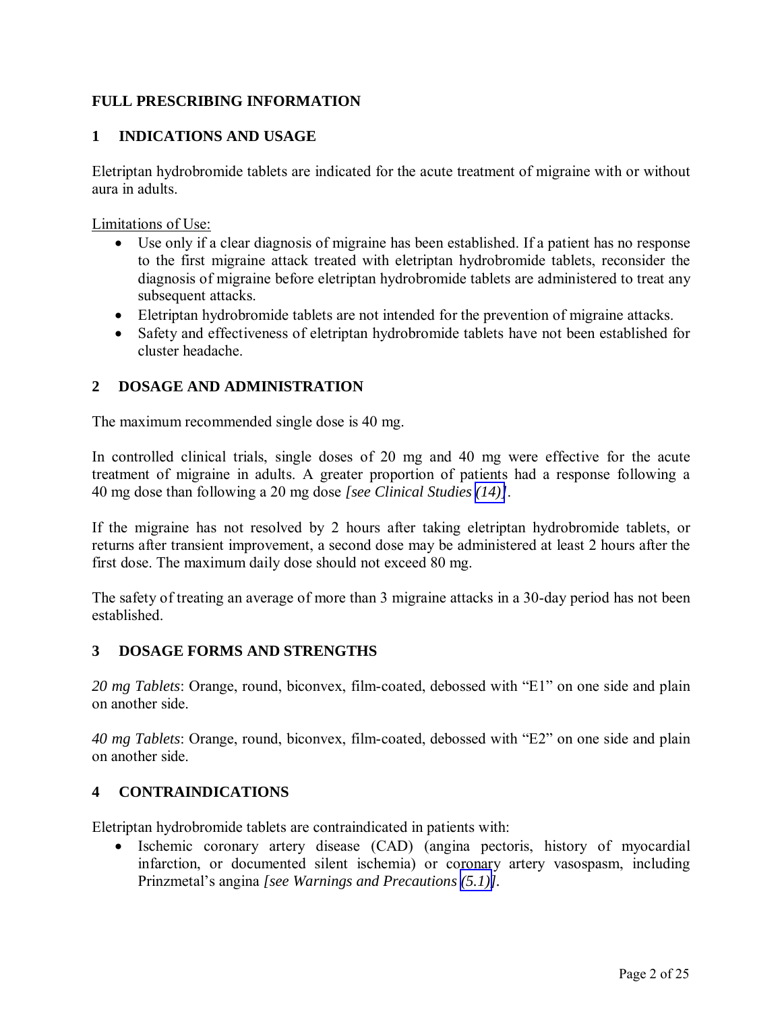# <span id="page-1-1"></span><span id="page-1-0"></span>**FULL PRESCRIBING INFORMATION**

# **1 INDICATIONS AND USAGE**

Eletriptan hydrobromide tablets are indicated for the acute treatment of migraine with or without aura in adults.

Limitations of Use:

- Use only if a clear diagnosis of migraine has been established. If a patient has no response to the first migraine attack treated with eletriptan hydrobromide tablets, reconsider the diagnosis of migraine before eletriptan hydrobromide tablets are administered to treat any subsequent attacks.
- Eletriptan hydrobromide tablets are not intended for the prevention of migraine attacks.
- Safety and effectiveness of eletriptan hydrobromide tablets have not been established for cluster headache.

## **2 DOSAGE AND ADMINISTRATION**

The maximum recommended single dose is 40 mg.

In controlled clinical trials, single doses of 20 mg and 40 mg were effective for the acute treatment of migraine in adults. A greater proportion of patients had a response following a 40 mg dose than following a 20 mg dose *[see Clinical Studies [\(14\)\]](#page-12-0)*.

If the migraine has not resolved by 2 hours after taking eletriptan hydrobromide tablets, or returns after transient improvement, a second dose may be administered at least 2 hours after the first dose. The maximum daily dose should not exceed 80 mg.

The safety of treating an average of more than 3 migraine attacks in a 30-day period has not been established.

### **3 DOSAGE FORMS AND STRENGTHS**

*20 mg Tablets*: Orange, round, biconvex, film-coated, debossed with "E1" on one side and plain on another side.

*40 mg Tablets*: Orange, round, biconvex, film-coated, debossed with "E2" on one side and plain on another side.

## **4 CONTRAINDICATIONS**

Eletriptan hydrobromide tablets are contraindicated in patients with:

• Ischemic coronary artery disease (CAD) (angina pectoris, history of myocardial infarction, or documented silent ischemia) or coronary artery vasospasm, including Prinzmetal's angina *[see Warnings and Precautions [\(5.1\)\]](#page-2-1).*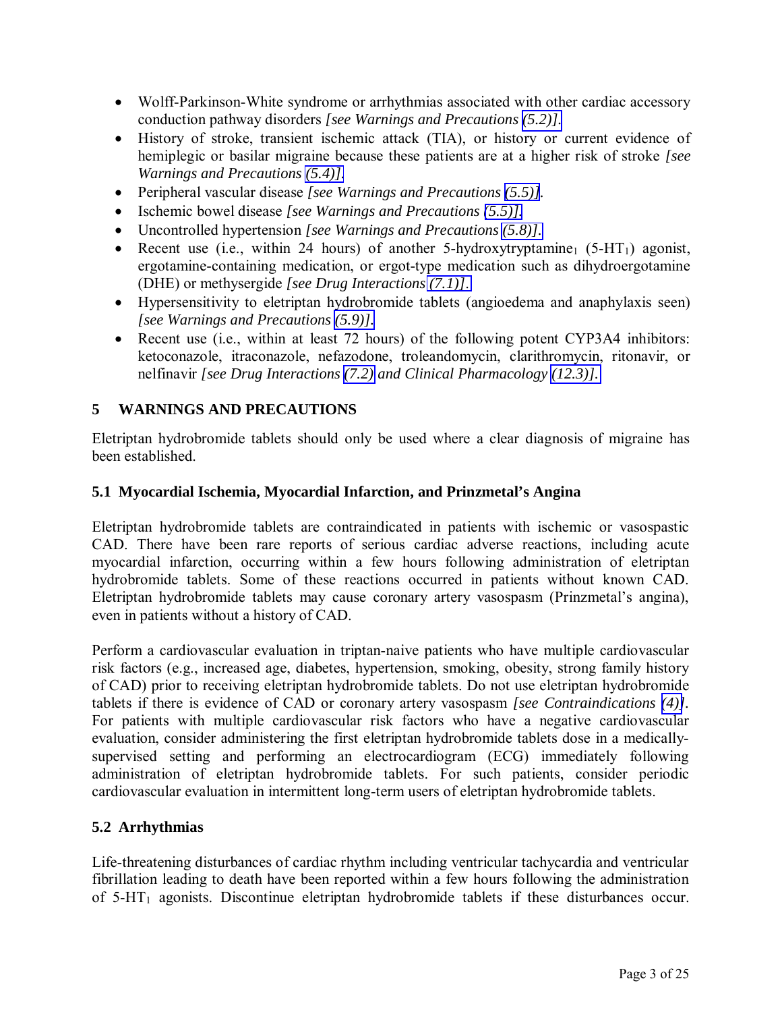- <span id="page-2-1"></span><span id="page-2-0"></span> Wolff-Parkinson-White syndrome or arrhythmias associated with other cardiac accessory conduction pathway disorders *[see Warnings and Precautions [\(5.2\)\].](#page-2-1)*
- History of stroke, transient ischemic attack (TIA), or history or current evidence of hemiplegic or basilar migraine because these patients are at a higher risk of stroke *[see Warnings and Precautions [\(5.4\)\].](#page-3-0)*
- Peripheral vascular disease *[see Warnings and Precautions [\(5.5\)\]](#page-3-1).*
- Ischemic bowel disease *[see Warnings and Precautions (5.5)]*.
- Uncontrolled hypertension *[see Warnings and Precautions [\(5.8\)\].](#page-4-1)*
- Recent use (i.e., within 24 hours) of another 5-hydroxytryptamine<sub>1</sub> (5-HT<sub>1</sub>) agonist, ergotamine-containing medication, or ergot-type medication such as dihydroergotamine (DHE) or methysergide *[see Drug Interactions [\(7.1\)\]](#page-6-1)*.
- Hypersensitivity to eletriptan hydrobromide tablets (angioedema and anaphylaxis seen) *[see Warnings and Precautions [\(5.9\)\].](#page-4-1)*
- Recent use (i.e., within at least 72 hours) of the following potent CYP3A4 inhibitors: ketoconazole, itraconazole, nefazodone, troleandomycin, clarithromycin, ritonavir, or nelfinavir *[see Drug Interactions [\(7.2\)](#page-6-1) and Clinical Pharmacology [\(12.3\)\].](#page-10-0)*

## **5 WARNINGS AND PRECAUTIONS**

Eletriptan hydrobromide tablets should only be used where a clear diagnosis of migraine has been established.

### **5.1 Myocardial Ischemia, Myocardial Infarction, and Prinzmetal's Angina**

Eletriptan hydrobromide tablets are contraindicated in patients with ischemic or vasospastic CAD. There have been rare reports of serious cardiac adverse reactions, including acute myocardial infarction, occurring within a few hours following administration of eletriptan hydrobromide tablets. Some of these reactions occurred in patients without known CAD. Eletriptan hydrobromide tablets may cause coronary artery vasospasm (Prinzmetal's angina), even in patients without a history of CAD.

Perform a cardiovascular evaluation in triptan-naive patients who have multiple cardiovascular risk factors (e.g., increased age, diabetes, hypertension, smoking, obesity, strong family history of CAD) prior to receiving eletriptan hydrobromide tablets. Do not use eletriptan hydrobromide tablets if there is evidence of CAD or coronary artery vasospasm *[see Contraindications [\(4\)\]](#page-1-1).*  For patients with multiple cardiovascular risk factors who have a negative cardiovascular evaluation, consider administering the first eletriptan hydrobromide tablets dose in a medicallysupervised setting and performing an electrocardiogram (ECG) immediately following administration of eletriptan hydrobromide tablets. For such patients, consider periodic cardiovascular evaluation in intermittent long-term users of eletriptan hydrobromide tablets.

### **5.2 Arrhythmias**

Life-threatening disturbances of cardiac rhythm including ventricular tachycardia and ventricular fibrillation leading to death have been reported within a few hours following the administration of 5-HT1 agonists. Discontinue eletriptan hydrobromide tablets if these disturbances occur.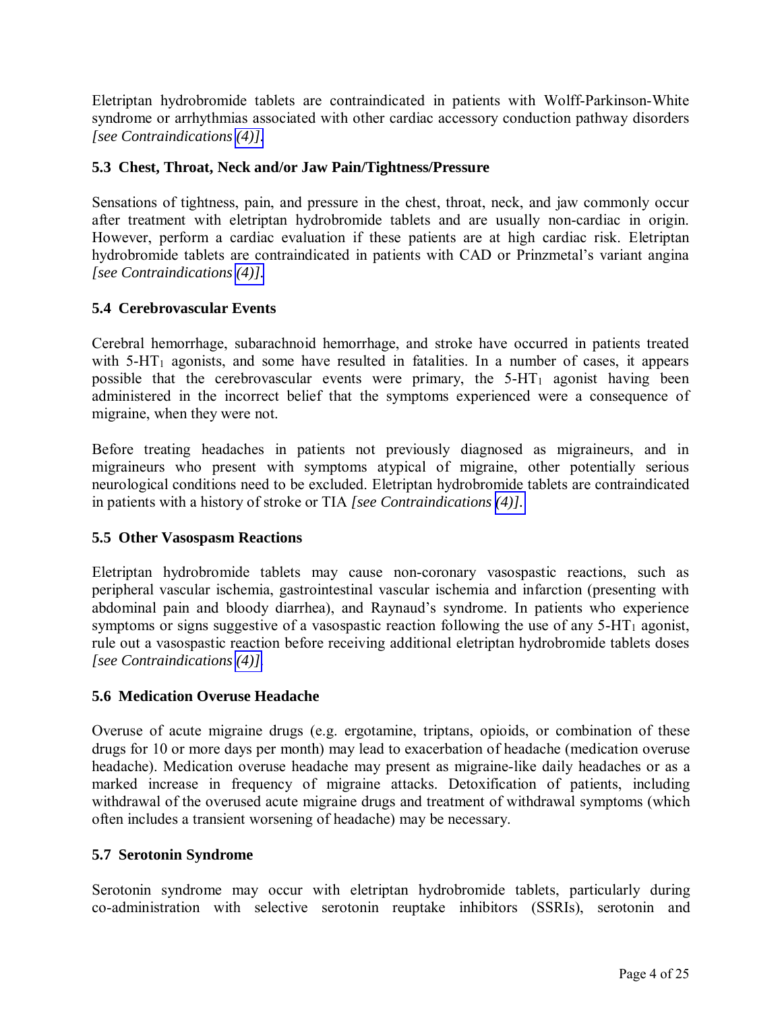<span id="page-3-1"></span><span id="page-3-0"></span>Eletriptan hydrobromide tablets are contraindicated in patients with Wolff-Parkinson-White syndrome or arrhythmias associated with other cardiac accessory conduction pathway disorders *[see Contraindications [\(4\)\].](#page-1-1)* 

## **5.3 Chest, Throat, Neck and/or Jaw Pain/Tightness/Pressure**

Sensations of tightness, pain, and pressure in the chest, throat, neck, and jaw commonly occur after treatment with eletriptan hydrobromide tablets and are usually non-cardiac in origin. However, perform a cardiac evaluation if these patients are at high cardiac risk. Eletriptan hydrobromide tablets are contraindicated in patients with CAD or Prinzmetal's variant angina *[see Contraindications [\(4\)\].](#page-1-1)* 

## **5.4 Cerebrovascular Events**

Cerebral hemorrhage, subarachnoid hemorrhage, and stroke have occurred in patients treated with  $5-HT_1$  agonists, and some have resulted in fatalities. In a number of cases, it appears possible that the cerebrovascular events were primary, the  $5-HT_1$  agonist having been administered in the incorrect belief that the symptoms experienced were a consequence of migraine, when they were not.

Before treating headaches in patients not previously diagnosed as migraineurs, and in migraineurs who present with symptoms atypical of migraine, other potentially serious neurological conditions need to be excluded. Eletriptan hydrobromide tablets are contraindicated in patients with a history of stroke or TIA *[see Contraindications [\(4\)\].](#page-1-1)* 

### **5.5 Other Vasospasm Reactions**

Eletriptan hydrobromide tablets may cause non-coronary vasospastic reactions, such as peripheral vascular ischemia, gastrointestinal vascular ischemia and infarction (presenting with abdominal pain and bloody diarrhea), and Raynaud's syndrome. In patients who experience symptoms or signs suggestive of a vasospastic reaction following the use of any  $5-HT_1$  agonist, rule out a vasospastic reaction before receiving additional eletriptan hydrobromide tablets doses *[see Contraindications [\(4\)\].](#page-1-1)* 

### **5.6 Medication Overuse Headache**

Overuse of acute migraine drugs (e.g. ergotamine, triptans, opioids, or combination of these drugs for 10 or more days per month) may lead to exacerbation of headache (medication overuse headache). Medication overuse headache may present as migraine-like daily headaches or as a marked increase in frequency of migraine attacks. Detoxification of patients, including withdrawal of the overused acute migraine drugs and treatment of withdrawal symptoms (which often includes a transient worsening of headache) may be necessary.

### **5.7 Serotonin Syndrome**

Serotonin syndrome may occur with eletriptan hydrobromide tablets, particularly during co-administration with selective serotonin reuptake inhibitors (SSRIs), serotonin and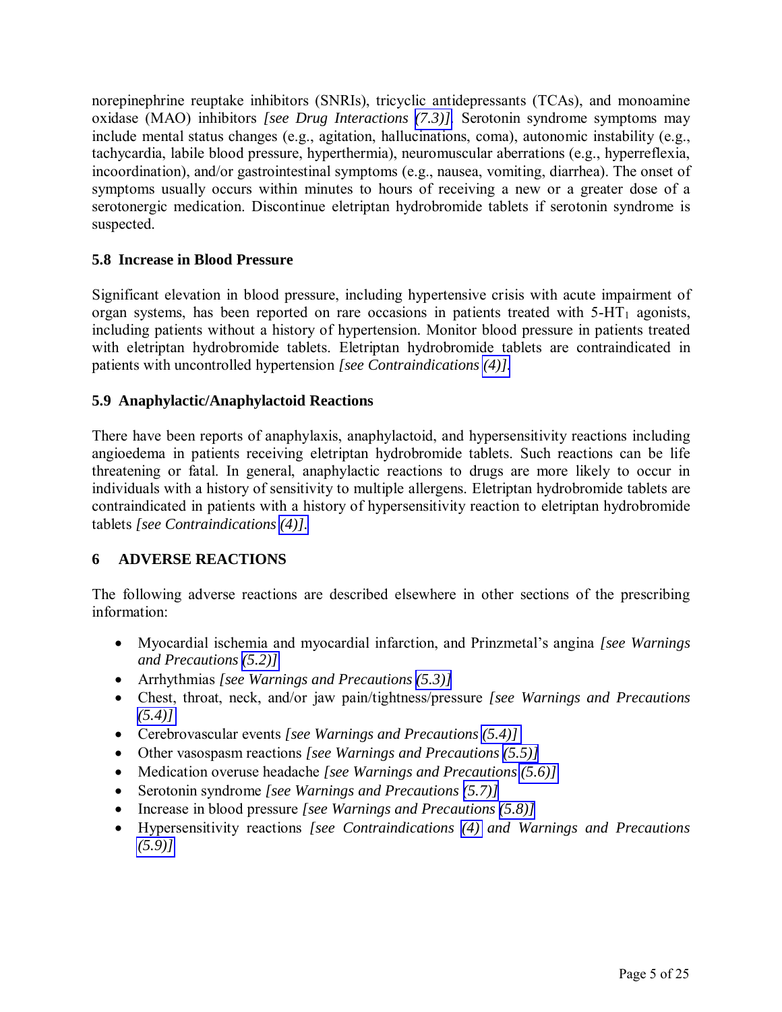<span id="page-4-1"></span><span id="page-4-0"></span>norepinephrine reuptake inhibitors (SNRIs), tricyclic antidepressants (TCAs), and monoamine oxidase (MAO) inhibitors *[see Drug Interactions [\(7.3\)\].](#page-6-1)* Serotonin syndrome symptoms may include mental status changes (e.g., agitation, hallucinations, coma), autonomic instability (e.g., tachycardia, labile blood pressure, hyperthermia), neuromuscular aberrations (e.g., hyperreflexia, incoordination), and/or gastrointestinal symptoms (e.g., nausea, vomiting, diarrhea). The onset of symptoms usually occurs within minutes to hours of receiving a new or a greater dose of a serotonergic medication. Discontinue eletriptan hydrobromide tablets if serotonin syndrome is suspected.

## **5.8 Increase in Blood Pressure**

Significant elevation in blood pressure, including hypertensive crisis with acute impairment of organ systems, has been reported on rare occasions in patients treated with  $5-HT_1$  agonists, including patients without a history of hypertension. Monitor blood pressure in patients treated with eletriptan hydrobromide tablets. Eletriptan hydrobromide tablets are contraindicated in patients with uncontrolled hypertension *[see Contraindications [\(4\)\].](#page-1-1)*

## **5.9 Anaphylactic/Anaphylactoid Reactions**

There have been reports of anaphylaxis, anaphylactoid, and hypersensitivity reactions including angioedema in patients receiving eletriptan hydrobromide tablets. Such reactions can be life threatening or fatal. In general, anaphylactic reactions to drugs are more likely to occur in individuals with a history of sensitivity to multiple allergens. Eletriptan hydrobromide tablets are contraindicated in patients with a history of hypersensitivity reaction to eletriptan hydrobromide tablets *[see Contraindications [\(4\)\].](#page-1-1)* 

## **6 ADVERSE REACTIONS**

The following adverse reactions are described elsewhere in other sections of the prescribing information:

- Myocardial ischemia and myocardial infarction, and Prinzmetal's angina *[see Warnings and Precautions [\(5.2\)\]](#page-2-1)*
- Arrhythmias *[see Warnings and Precautions [\(5.3\)\]](#page-3-1)*
- Chest, throat, neck, and/or jaw pain/tightness/pressure *[see Warnings and Precautions [\(5.4\)\]](#page-3-1)*
- Cerebrovascular events *[see Warnings and Precautions [\(5.4\)\]](#page-3-1)*
- Other vasospasm reactions *[see Warnings and Precautions [\(5.5\)\]](#page-3-1)*
- Medication overuse headache *[see Warnings and Precautions [\(5.6\)\]](#page-3-1)*
- Serotonin syndrome *[see Warnings and Precautions [\(5.7\)\]](#page-3-1)*
- Increase in blood pressure *[see Warnings and Precautions [\(5.8\)\]](#page-4-1)*
- Hypersensitivity reactions *[see Contraindications [\(4\)](#page-1-1) and Warnings and Precautions [\(5.9\)\]](#page-4-1)*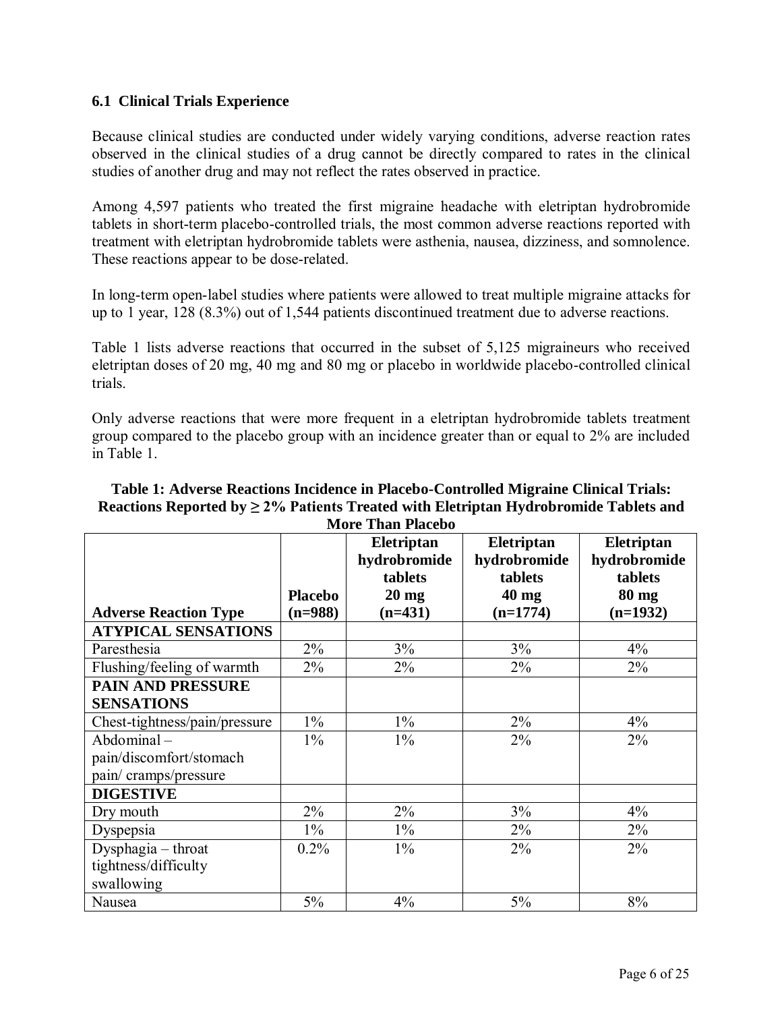## <span id="page-5-0"></span>**6.1 Clinical Trials Experience**

Because clinical studies are conducted under widely varying conditions, adverse reaction rates observed in the clinical studies of a drug cannot be directly compared to rates in the clinical studies of another drug and may not reflect the rates observed in practice.

Among 4,597 patients who treated the first migraine headache with eletriptan hydrobromide tablets in short-term placebo-controlled trials, the most common adverse reactions reported with treatment with eletriptan hydrobromide tablets were asthenia, nausea, dizziness, and somnolence. These reactions appear to be dose-related.

In long-term open-label studies where patients were allowed to treat multiple migraine attacks for up to 1 year, 128 (8.3%) out of 1,544 patients discontinued treatment due to adverse reactions.

Table 1 lists adverse reactions that occurred in the subset of 5,125 migraineurs who received eletriptan doses of 20 mg, 40 mg and 80 mg or placebo in worldwide placebo-controlled clinical trials.

Only adverse reactions that were more frequent in a eletriptan hydrobromide tablets treatment group compared to the placebo group with an incidence greater than or equal to 2% are included in Table 1.

| Table 1: Adverse Reactions Incidence in Placebo-Controlled Migraine Clinical Trials:      |
|-------------------------------------------------------------------------------------------|
| Reactions Reported by $\geq$ 2% Patients Treated with Eletriptan Hydrobromide Tablets and |
| <b>More Than Placebo</b>                                                                  |

|                               |                | Eletriptan      | Eletriptan   | Eletriptan      |
|-------------------------------|----------------|-----------------|--------------|-----------------|
|                               |                | hydrobromide    | hydrobromide | hydrobromide    |
|                               |                | tablets         | tablets      | tablets         |
|                               | <b>Placebo</b> | $20 \text{ mg}$ | $40$ mg      | $80 \text{ mg}$ |
| <b>Adverse Reaction Type</b>  | $(n=988)$      | $(n=431)$       | $(n=1774)$   | $(n=1932)$      |
| <b>ATYPICAL SENSATIONS</b>    |                |                 |              |                 |
| Paresthesia                   | $2\%$          | 3%              | 3%           | 4%              |
| Flushing/feeling of warmth    | $2\%$          | $2\%$           | $2\%$        | $2\%$           |
| <b>PAIN AND PRESSURE</b>      |                |                 |              |                 |
| <b>SENSATIONS</b>             |                |                 |              |                 |
| Chest-tightness/pain/pressure | $1\%$          | $1\%$           | $2\%$        | 4%              |
| $Abdominal -$                 | $1\%$          | $1\%$           | $2\%$        | $2\%$           |
| pain/discomfort/stomach       |                |                 |              |                 |
| pain/cramps/pressure          |                |                 |              |                 |
| <b>DIGESTIVE</b>              |                |                 |              |                 |
| Dry mouth                     | 2%             | $2\%$           | 3%           | 4%              |
| Dyspepsia                     | $1\%$          | $1\%$           | $2\%$        | $2\%$           |
| Dysphagia - throat            | 0.2%           | $1\%$           | $2\%$        | 2%              |
| tightness/difficulty          |                |                 |              |                 |
| swallowing                    |                |                 |              |                 |
| Nausea                        | 5%             | 4%              | $5\%$        | 8%              |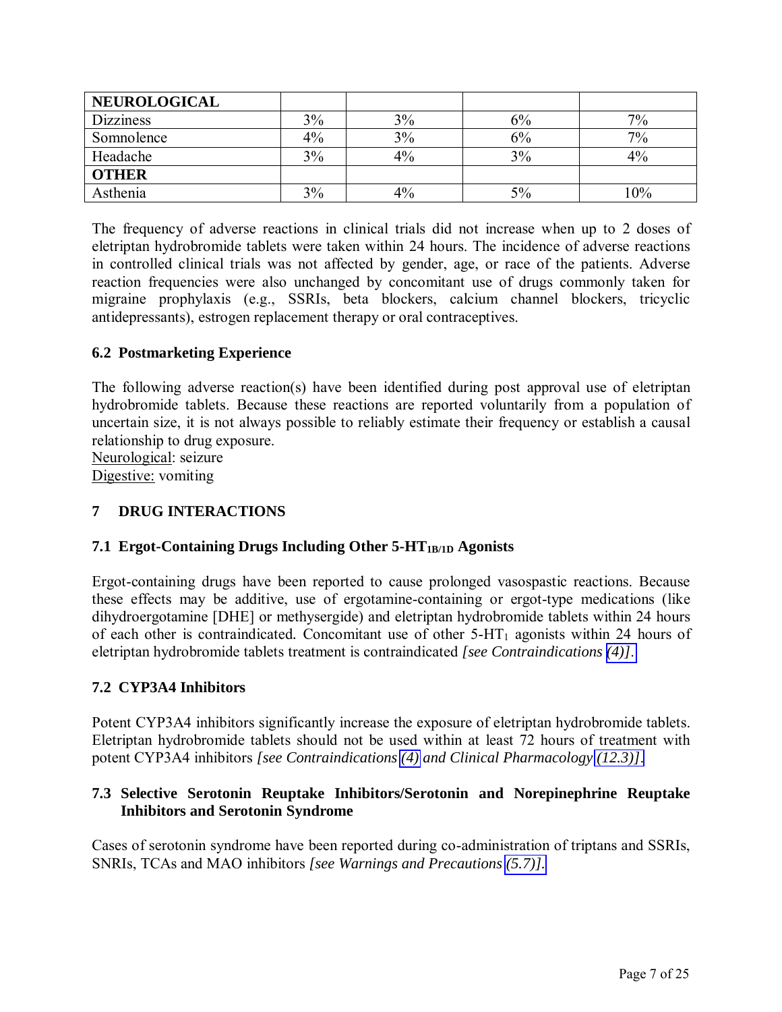<span id="page-6-2"></span><span id="page-6-1"></span><span id="page-6-0"></span>

| <b>NEUROLOGICAL</b> |       |    |    |        |
|---------------------|-------|----|----|--------|
| <b>Dizziness</b>    | 3%    | 3% | 6% | $7\%$  |
| Somnolence          | $4\%$ | 3% | 6% | $7\%$  |
| Headache            | 3%    | 4% | 3% | 4%     |
| <b>OTHER</b>        |       |    |    |        |
| Asthenia            | 3%    | 4% | 5% | $10\%$ |

The frequency of adverse reactions in clinical trials did not increase when up to 2 doses of eletriptan hydrobromide tablets were taken within 24 hours. The incidence of adverse reactions in controlled clinical trials was not affected by gender, age, or race of the patients. Adverse reaction frequencies were also unchanged by concomitant use of drugs commonly taken for migraine prophylaxis (e.g., SSRIs, beta blockers, calcium channel blockers, tricyclic antidepressants), estrogen replacement therapy or oral contraceptives.

## **6.2 Postmarketing Experience**

The following adverse reaction(s) have been identified during post approval use of eletriptan hydrobromide tablets. Because these reactions are reported voluntarily from a population of uncertain size, it is not always possible to reliably estimate their frequency or establish a causal relationship to drug exposure.

Neurological: seizure

Digestive: vomiting

## **7 DRUG INTERACTIONS**

### **7.1 Ergot-Containing Drugs Including Other 5-HT1B/1D Agonists**

Ergot-containing drugs have been reported to cause prolonged vasospastic reactions. Because these effects may be additive, use of ergotamine-containing or ergot-type medications (like dihydroergotamine [DHE] or methysergide) and eletriptan hydrobromide tablets within 24 hours of each other is contraindicated*.* Concomitant use of other 5-HT1 agonists within 24 hours of eletriptan hydrobromide tablets treatment is contraindicated *[see Contraindications [\(4\)\]](#page-1-1)*.

### **7.2 CYP3A4 Inhibitors**

Potent CYP3A4 inhibitors significantly increase the exposure of eletriptan hydrobromide tablets. Eletriptan hydrobromide tablets should not be used within at least 72 hours of treatment with potent CYP3A4 inhibitors *[see Contraindications [\(4\)](#page-1-1) and Clinical Pharmacology [\(12.3\)\]](#page-10-0)*.

## **7.3 Selective Serotonin Reuptake Inhibitors/Serotonin and Norepinephrine Reuptake Inhibitors and Serotonin Syndrome**

Cases of serotonin syndrome have been reported during co-administration of triptans and SSRIs, SNRIs, TCAs and MAO inhibitors *[see Warnings and Precautions [\(5.7\)\].](#page-3-1)*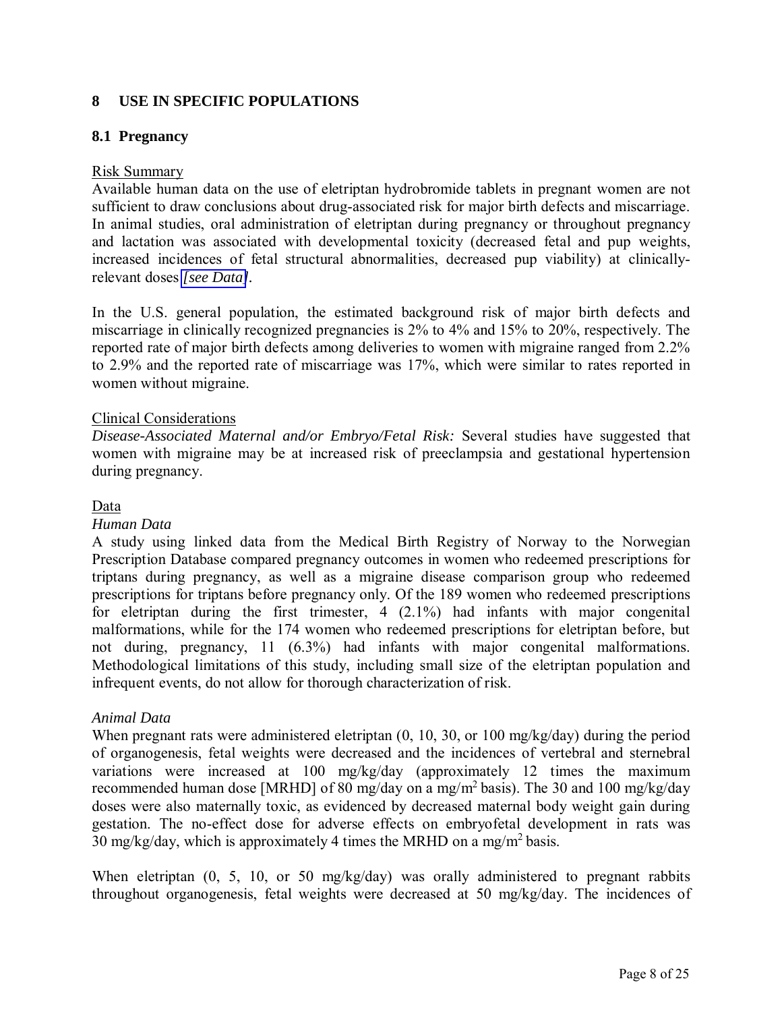## <span id="page-7-0"></span>**8 USE IN SPECIFIC POPULATIONS**

### **8.1 Pregnancy**

#### Risk Summary

Available human data on the use of eletriptan hydrobromide tablets in pregnant women are not sufficient to draw conclusions about drug-associated risk for major birth defects and miscarriage. In animal studies, oral administration of eletriptan during pregnancy or throughout pregnancy and lactation was associated with developmental toxicity (decreased fetal and pup weights, increased incidences of fetal structural abnormalities, decreased pup viability) at clinicallyrelevant doses *[\[see Data\]](#page-7-0).* 

In the U.S. general population, the estimated background risk of major birth defects and miscarriage in clinically recognized pregnancies is 2% to 4% and 15% to 20%, respectively. The reported rate of major birth defects among deliveries to women with migraine ranged from 2.2% to 2.9% and the reported rate of miscarriage was 17%, which were similar to rates reported in women without migraine.

#### Clinical Considerations

*Disease-Associated Maternal and/or Embryo/Fetal Risk:* Several studies have suggested that women with migraine may be at increased risk of preeclampsia and gestational hypertension during pregnancy.

#### Data

#### *Human Data*

A study using linked data from the Medical Birth Registry of Norway to the Norwegian Prescription Database compared pregnancy outcomes in women who redeemed prescriptions for triptans during pregnancy, as well as a migraine disease comparison group who redeemed prescriptions for triptans before pregnancy only. Of the 189 women who redeemed prescriptions for eletriptan during the first trimester, 4 (2.1%) had infants with major congenital malformations, while for the 174 women who redeemed prescriptions for eletriptan before, but not during, pregnancy, 11 (6.3%) had infants with major congenital malformations. Methodological limitations of this study, including small size of the eletriptan population and infrequent events, do not allow for thorough characterization of risk.

### *Animal Data*

When pregnant rats were administered eletriptan (0, 10, 30, or 100 mg/kg/day) during the period of organogenesis, fetal weights were decreased and the incidences of vertebral and sternebral variations were increased at 100 mg/kg/day (approximately 12 times the maximum recommended human dose [MRHD] of 80 mg/day on a mg/m<sup>2</sup> basis). The 30 and 100 mg/kg/day doses were also maternally toxic, as evidenced by decreased maternal body weight gain during gestation. The no-effect dose for adverse effects on embryofetal development in rats was 30 mg/kg/day, which is approximately 4 times the MRHD on a mg/m<sup>2</sup> basis.

When eletriptan  $(0, 5, 10, \text{or } 50 \text{ mg/kg/day})$  was orally administered to pregnant rabbits throughout organogenesis, fetal weights were decreased at 50 mg/kg/day. The incidences of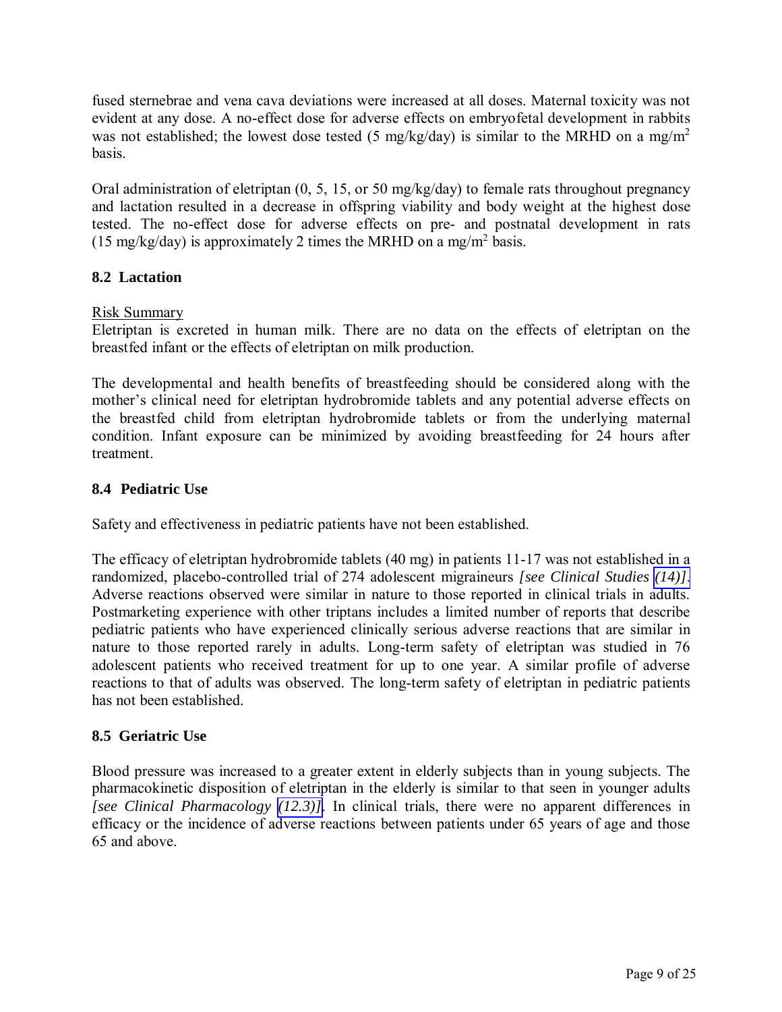<span id="page-8-0"></span>fused sternebrae and vena cava deviations were increased at all doses. Maternal toxicity was not evident at any dose. A no-effect dose for adverse effects on embryofetal development in rabbits was not established; the lowest dose tested (5 mg/kg/day) is similar to the MRHD on a mg/m<sup>2</sup> basis.

Oral administration of eletriptan (0, 5, 15, or 50 mg/kg/day) to female rats throughout pregnancy and lactation resulted in a decrease in offspring viability and body weight at the highest dose tested. The no-effect dose for adverse effects on pre- and postnatal development in rats (15 mg/kg/day) is approximately 2 times the MRHD on a mg/m<sup>2</sup> basis.

## **8.2 Lactation**

#### Risk Summary

Eletriptan is excreted in human milk. There are no data on the effects of eletriptan on the breastfed infant or the effects of eletriptan on milk production.

The developmental and health benefits of breastfeeding should be considered along with the mother's clinical need for eletriptan hydrobromide tablets and any potential adverse effects on the breastfed child from eletriptan hydrobromide tablets or from the underlying maternal condition. Infant exposure can be minimized by avoiding breastfeeding for 24 hours after treatment.

### **8.4 Pediatric Use**

Safety and effectiveness in pediatric patients have not been established.

The efficacy of eletriptan hydrobromide tablets (40 mg) in patients 11-17 was not established in a randomized, placebo-controlled trial of 274 adolescent migraineurs *[see Clinical Studies [\(14\)\]](#page-12-0)*. Adverse reactions observed were similar in nature to those reported in clinical trials in adults. Postmarketing experience with other triptans includes a limited number of reports that describe pediatric patients who have experienced clinically serious adverse reactions that are similar in nature to those reported rarely in adults. Long-term safety of eletriptan was studied in 76 adolescent patients who received treatment for up to one year. A similar profile of adverse reactions to that of adults was observed. The long-term safety of eletriptan in pediatric patients has not been established.

### **8.5 Geriatric Use**

Blood pressure was increased to a greater extent in elderly subjects than in young subjects. The pharmacokinetic disposition of eletriptan in the elderly is similar to that seen in younger adults *[see Clinical Pharmacology [\(12.3\)\]](#page-10-0)*. In clinical trials, there were no apparent differences in efficacy or the incidence of adverse reactions between patients under 65 years of age and those 65 and above.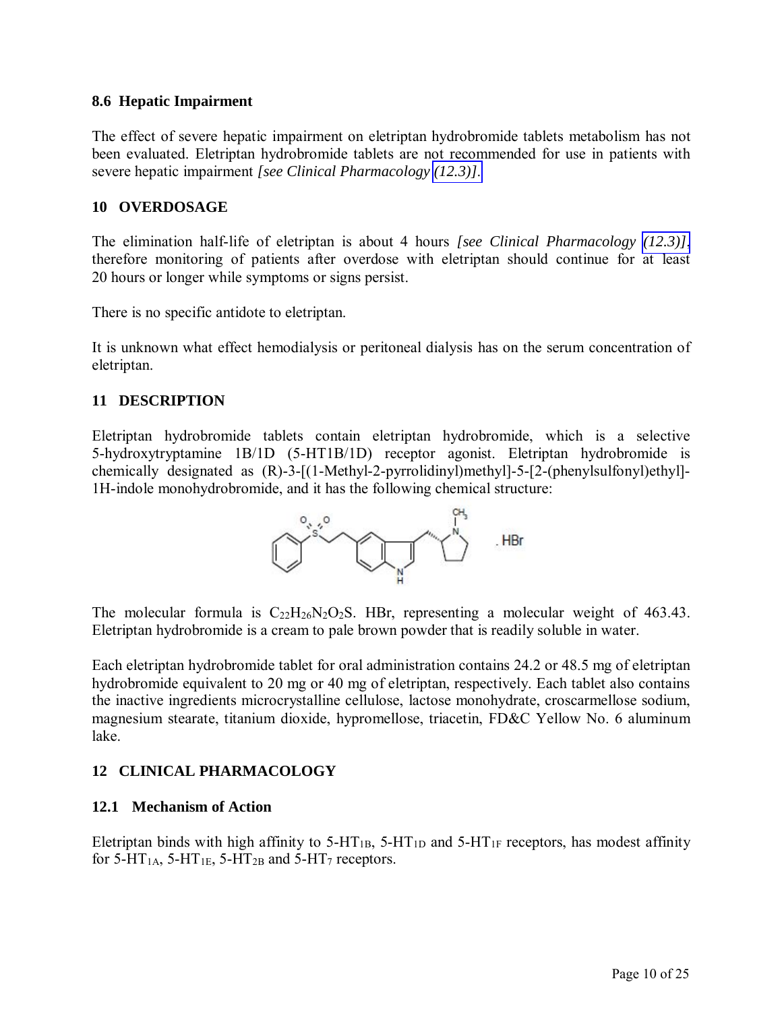### <span id="page-9-0"></span>**8.6 Hepatic Impairment**

The effect of severe hepatic impairment on eletriptan hydrobromide tablets metabolism has not been evaluated. Eletriptan hydrobromide tablets are not recommended for use in patients with severe hepatic impairment *[see Clinical Pharmacology [\(12.3\)\]](#page-10-0)*.

### **10 OVERDOSAGE**

The elimination half-life of eletriptan is about 4 hours *[see Clinical Pharmacology [\(12.3\)\]](#page-10-0)*, therefore monitoring of patients after overdose with eletriptan should continue for at least 20 hours or longer while symptoms or signs persist.

There is no specific antidote to eletriptan.

It is unknown what effect hemodialysis or peritoneal dialysis has on the serum concentration of eletriptan.

### **11 DESCRIPTION**

Eletriptan hydrobromide tablets contain eletriptan hydrobromide, which is a selective 5-hydroxytryptamine 1B/1D (5-HT1B/1D) receptor agonist. Eletriptan hydrobromide is chemically designated as (R)-3-[(1-Methyl-2-pyrrolidinyl)methyl]-5-[2-(phenylsulfonyl)ethyl]- 1H-indole monohydrobromide, and it has the following chemical structure:



The molecular formula is  $C_{22}H_{26}N_2O_2S$ . HBr, representing a molecular weight of 463.43. Eletriptan hydrobromide is a cream to pale brown powder that is readily soluble in water.

Each eletriptan hydrobromide tablet for oral administration contains 24.2 or 48.5 mg of eletriptan hydrobromide equivalent to 20 mg or 40 mg of eletriptan, respectively. Each tablet also contains the inactive ingredients microcrystalline cellulose, lactose monohydrate, croscarmellose sodium, magnesium stearate, titanium dioxide, hypromellose, triacetin, FD&C Yellow No. 6 aluminum lake.

### **12 CLINICAL PHARMACOLOGY**

#### **12.1 Mechanism of Action**

Eletriptan binds with high affinity to  $5-HT_{1B}$ ,  $5-HT_{1D}$  and  $5-HT_{1F}$  receptors, has modest affinity for 5-HT<sub>1A</sub>, 5-HT<sub>1E</sub>, 5-HT<sub>2B</sub> and 5-HT<sub>7</sub> receptors.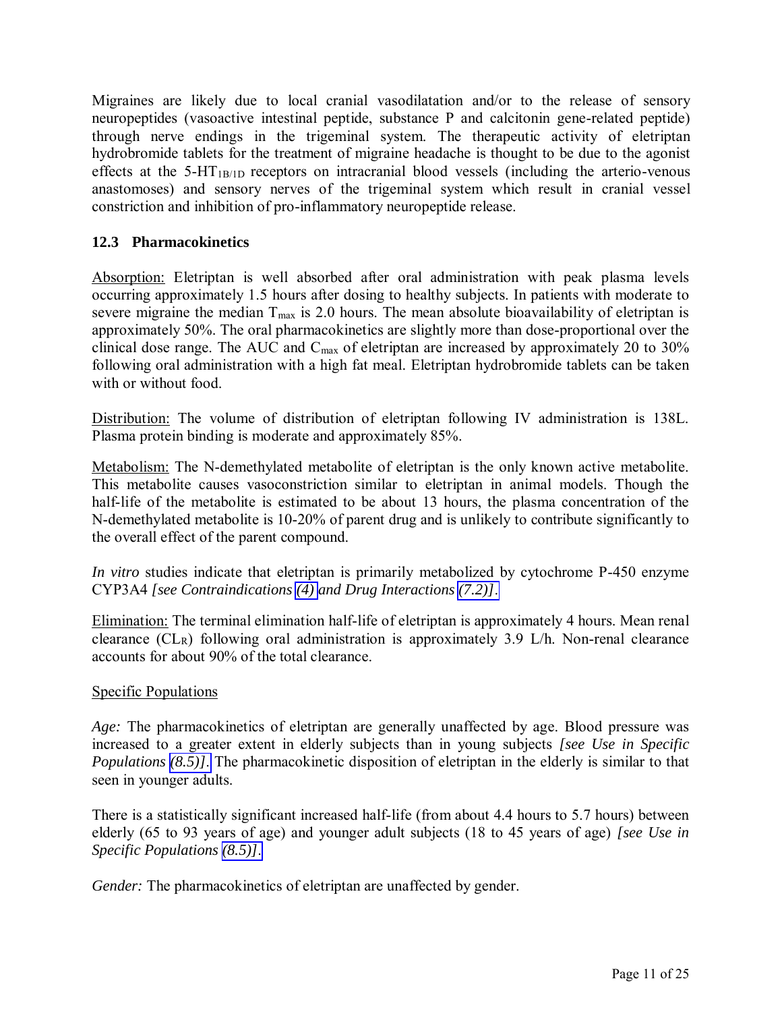<span id="page-10-0"></span>Migraines are likely due to local cranial vasodilatation and/or to the release of sensory neuropeptides (vasoactive intestinal peptide, substance P and calcitonin gene-related peptide) through nerve endings in the trigeminal system. The therapeutic activity of eletriptan hydrobromide tablets for the treatment of migraine headache is thought to be due to the agonist effects at the  $5-HT_{1B/1D}$  receptors on intracranial blood vessels (including the arterio-venous anastomoses) and sensory nerves of the trigeminal system which result in cranial vessel constriction and inhibition of pro-inflammatory neuropeptide release.

# **12.3 Pharmacokinetics**

Absorption: Eletriptan is well absorbed after oral administration with peak plasma levels occurring approximately 1.5 hours after dosing to healthy subjects. In patients with moderate to severe migraine the median  $T_{\text{max}}$  is 2.0 hours. The mean absolute bioavailability of eletriptan is approximately 50%. The oral pharmacokinetics are slightly more than dose-proportional over the clinical dose range. The AUC and  $C_{\text{max}}$  of eletriptan are increased by approximately 20 to 30% following oral administration with a high fat meal. Eletriptan hydrobromide tablets can be taken with or without food.

Distribution: The volume of distribution of eletriptan following IV administration is 138L. Plasma protein binding is moderate and approximately 85%.

Metabolism: The N-demethylated metabolite of eletriptan is the only known active metabolite. This metabolite causes vasoconstriction similar to eletriptan in animal models. Though the half-life of the metabolite is estimated to be about 13 hours, the plasma concentration of the N-demethylated metabolite is 10-20% of parent drug and is unlikely to contribute significantly to the overall effect of the parent compound.

*In vitro* studies indicate that eletriptan is primarily metabolized by cytochrome P-450 enzyme CYP3A4 *[see Contraindications [\(4\)](#page-1-1) and Drug Interactions [\(7.2\)\]](#page-6-1)*.

Elimination: The terminal elimination half-life of eletriptan is approximately 4 hours. Mean renal clearance  $CL_R$ ) following oral administration is approximately 3.9 L/h. Non-renal clearance accounts for about 90% of the total clearance.

## Specific Populations

*Age:* The pharmacokinetics of eletriptan are generally unaffected by age. Blood pressure was increased to a greater extent in elderly subjects than in young subjects *[see Use in Specific Populations [\(8.5\)\]](#page-8-0)*. The pharmacokinetic disposition of eletriptan in the elderly is similar to that seen in younger adults.

There is a statistically significant increased half-life (from about 4.4 hours to 5.7 hours) between elderly (65 to 93 years of age) and younger adult subjects (18 to 45 years of age) *[see Use in Specific Populations [\(8.5\)\]](#page-8-0)*.

*Gender:* The pharmacokinetics of eletriptan are unaffected by gender.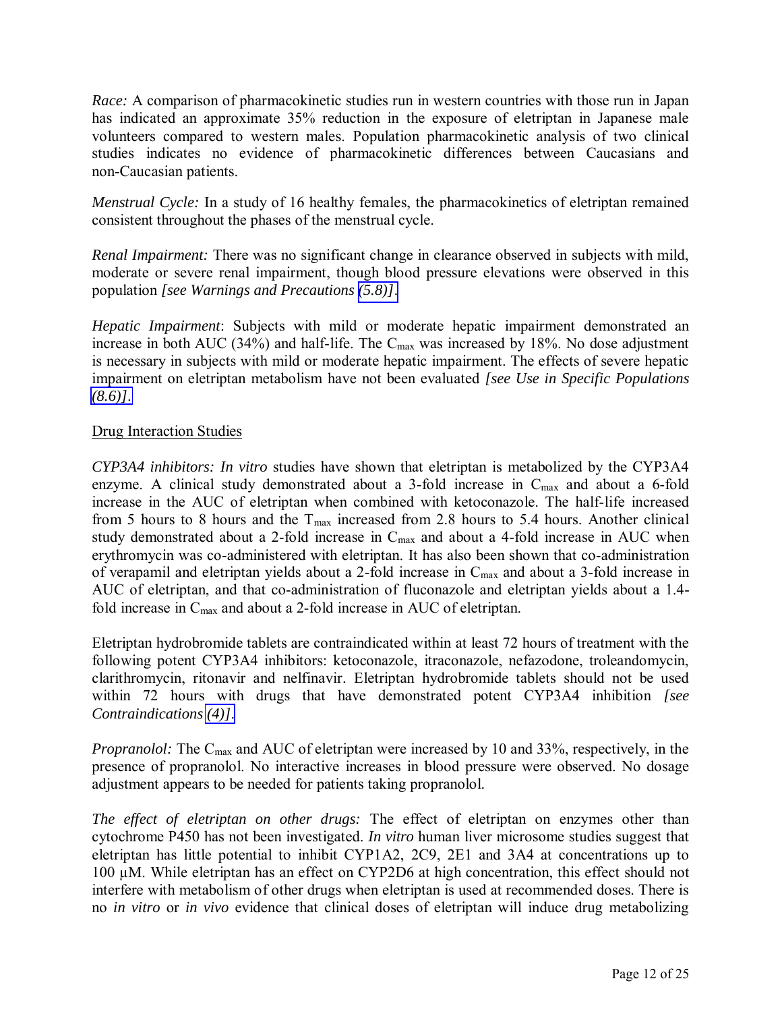*Race:* A comparison of pharmacokinetic studies run in western countries with those run in Japan has indicated an approximate 35% reduction in the exposure of eletriptan in Japanese male volunteers compared to western males. Population pharmacokinetic analysis of two clinical studies indicates no evidence of pharmacokinetic differences between Caucasians and non-Caucasian patients.

*Menstrual Cycle:* In a study of 16 healthy females, the pharmacokinetics of eletriptan remained consistent throughout the phases of the menstrual cycle.

*Renal Impairment:* There was no significant change in clearance observed in subjects with mild, moderate or severe renal impairment, though blood pressure elevations were observed in this population *[see Warnings and Precautions [\(5.8\)\]](#page-4-1)*.

*Hepatic Impairment*: Subjects with mild or moderate hepatic impairment demonstrated an increase in both AUC (34%) and half-life. The  $C_{\text{max}}$  was increased by 18%. No dose adjustment is necessary in subjects with mild or moderate hepatic impairment. The effects of severe hepatic impairment on eletriptan metabolism have not been evaluated *[see Use in Specific Populations [\(8.6\)\]](#page-9-0)*.

## Drug Interaction Studies

*CYP3A4 inhibitors: In vitro* studies have shown that eletriptan is metabolized by the CYP3A4 enzyme. A clinical study demonstrated about a 3-fold increase in  $C_{max}$  and about a 6-fold increase in the AUC of eletriptan when combined with ketoconazole. The half-life increased from 5 hours to 8 hours and the  $T_{\text{max}}$  increased from 2.8 hours to 5.4 hours. Another clinical study demonstrated about a 2-fold increase in  $C_{\text{max}}$  and about a 4-fold increase in AUC when erythromycin was co-administered with eletriptan. It has also been shown that co-administration of verapamil and eletriptan yields about a 2-fold increase in  $C_{\text{max}}$  and about a 3-fold increase in AUC of eletriptan, and that co-administration of fluconazole and eletriptan yields about a 1.4 fold increase in Cmax and about a 2-fold increase in AUC of eletriptan.

Eletriptan hydrobromide tablets are contraindicated within at least 72 hours of treatment with the following potent CYP3A4 inhibitors: ketoconazole, itraconazole, nefazodone, troleandomycin, clarithromycin, ritonavir and nelfinavir. Eletriptan hydrobromide tablets should not be used within 72 hours with drugs that have demonstrated potent CYP3A4 inhibition *[see Contraindications [\(4\)\]](#page-1-1)*.

*Propranolol:* The C<sub>max</sub> and AUC of eletriptan were increased by 10 and 33%, respectively, in the presence of propranolol. No interactive increases in blood pressure were observed. No dosage adjustment appears to be needed for patients taking propranolol.

*The effect of eletriptan on other drugs:* The effect of eletriptan on enzymes other than cytochrome P450 has not been investigated. *In vitro* human liver microsome studies suggest that eletriptan has little potential to inhibit CYP1A2, 2C9, 2E1 and 3A4 at concentrations up to 100 µM. While eletriptan has an effect on CYP2D6 at high concentration, this effect should not interfere with metabolism of other drugs when eletriptan is used at recommended doses. There is no *in vitro* or *in vivo* evidence that clinical doses of eletriptan will induce drug metabolizing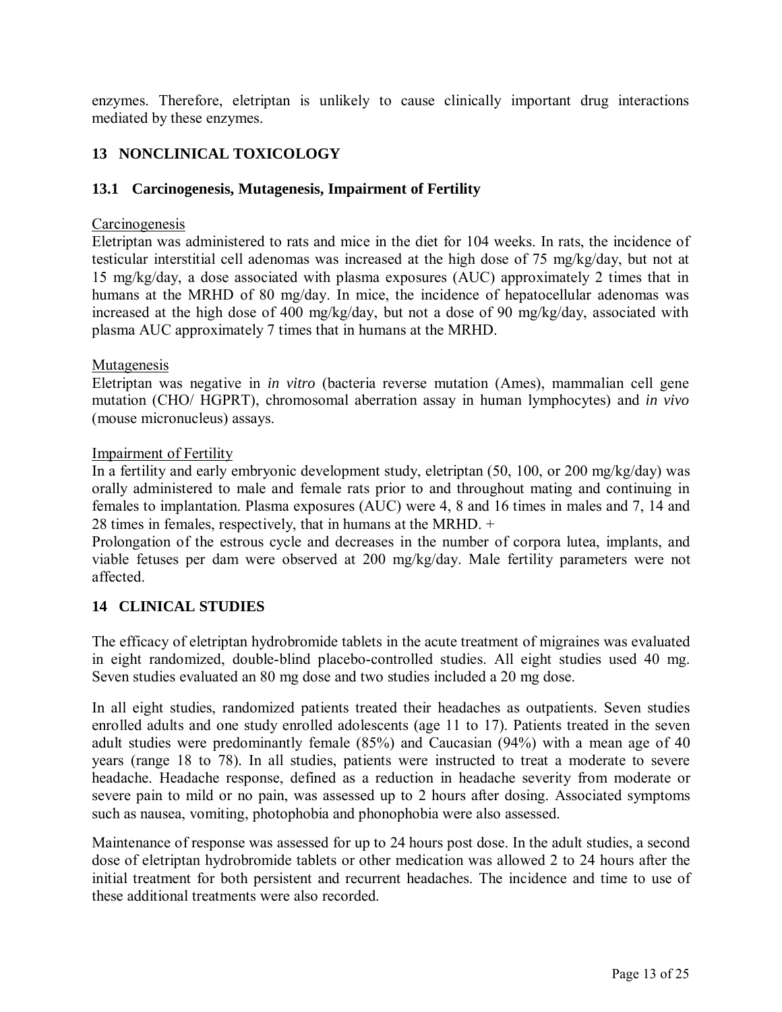<span id="page-12-0"></span>enzymes. Therefore, eletriptan is unlikely to cause clinically important drug interactions mediated by these enzymes.

# **13 NONCLINICAL TOXICOLOGY**

## **13.1 Carcinogenesis, Mutagenesis, Impairment of Fertility**

### **Carcinogenesis**

Eletriptan was administered to rats and mice in the diet for 104 weeks. In rats, the incidence of testicular interstitial cell adenomas was increased at the high dose of 75 mg/kg/day, but not at 15 mg/kg/day, a dose associated with plasma exposures (AUC) approximately 2 times that in humans at the MRHD of 80 mg/day. In mice, the incidence of hepatocellular adenomas was increased at the high dose of 400 mg/kg/day, but not a dose of 90 mg/kg/day, associated with plasma AUC approximately 7 times that in humans at the MRHD.

### **Mutagenesis**

Eletriptan was negative in *in vitro* (bacteria reverse mutation (Ames), mammalian cell gene mutation (CHO/ HGPRT), chromosomal aberration assay in human lymphocytes) and *in vivo* (mouse micronucleus) assays.

#### Impairment of Fertility

In a fertility and early embryonic development study, eletriptan (50, 100, or 200 mg/kg/day) was orally administered to male and female rats prior to and throughout mating and continuing in females to implantation. Plasma exposures (AUC) were 4, 8 and 16 times in males and 7, 14 and 28 times in females, respectively, that in humans at the MRHD. +

Prolongation of the estrous cycle and decreases in the number of corpora lutea, implants, and viable fetuses per dam were observed at 200 mg/kg/day. Male fertility parameters were not affected.

### **14 CLINICAL STUDIES**

The efficacy of eletriptan hydrobromide tablets in the acute treatment of migraines was evaluated in eight randomized, double-blind placebo-controlled studies. All eight studies used 40 mg. Seven studies evaluated an 80 mg dose and two studies included a 20 mg dose.

In all eight studies, randomized patients treated their headaches as outpatients. Seven studies enrolled adults and one study enrolled adolescents (age 11 to 17). Patients treated in the seven adult studies were predominantly female (85%) and Caucasian (94%) with a mean age of 40 years (range 18 to 78). In all studies, patients were instructed to treat a moderate to severe headache. Headache response, defined as a reduction in headache severity from moderate or severe pain to mild or no pain, was assessed up to 2 hours after dosing. Associated symptoms such as nausea, vomiting, photophobia and phonophobia were also assessed.

Maintenance of response was assessed for up to 24 hours post dose. In the adult studies, a second dose of eletriptan hydrobromide tablets or other medication was allowed 2 to 24 hours after the initial treatment for both persistent and recurrent headaches. The incidence and time to use of these additional treatments were also recorded.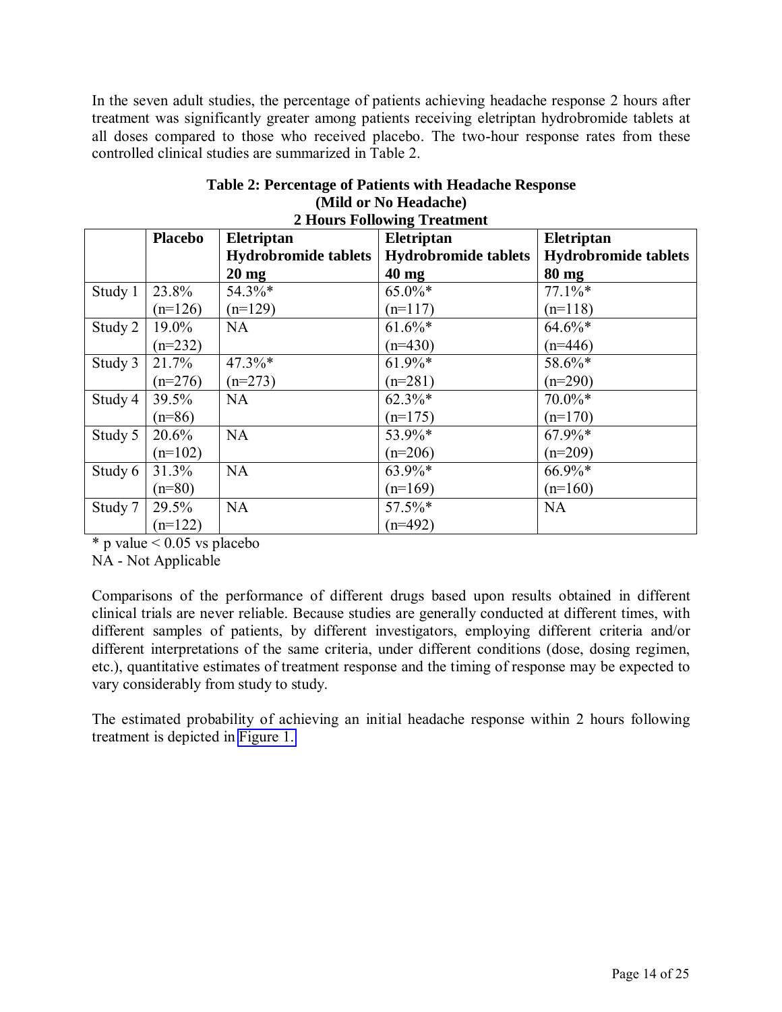In the seven adult studies, the percentage of patients achieving headache response 2 hours after treatment was significantly greater among patients receiving eletriptan hydrobromide tablets at all doses compared to those who received placebo. The two-hour response rates from these controlled clinical studies are summarized in Table 2.

| <b>2 Hours Following Treatment</b> |                |                             |                             |                             |  |
|------------------------------------|----------------|-----------------------------|-----------------------------|-----------------------------|--|
|                                    | <b>Placebo</b> | Eletriptan                  | Eletriptan                  | Eletriptan                  |  |
|                                    |                | <b>Hydrobromide tablets</b> | <b>Hydrobromide tablets</b> | <b>Hydrobromide tablets</b> |  |
|                                    |                | $20 \text{ mg}$             | $40 \text{ mg}$             | 80 mg                       |  |
| Study 1                            | 23.8%          | 54.3%*                      | 65.0%*                      | $77.1\%*$                   |  |
|                                    | $(n=126)$      | $(n=129)$                   | $(n=117)$                   | $(n=118)$                   |  |
| Study 2                            | 19.0%          | <b>NA</b>                   | $61.6\%*$                   | $64.6\%*$                   |  |
|                                    | $(n=232)$      |                             | $(n=430)$                   | $(n=446)$                   |  |
| Study 3                            | 21.7%          | 47.3%*                      | $61.9\%*$                   | 58.6%*                      |  |
|                                    | $(n=276)$      | $(n=273)$                   | $(n=281)$                   | $(n=290)$                   |  |
| Study 4                            | 39.5%          | <b>NA</b>                   | $62.3\%*$                   | $70.0\%*$                   |  |
|                                    | $(n=86)$       |                             | $(n=175)$                   | $(n=170)$                   |  |
| Study 5                            | 20.6%          | <b>NA</b>                   | 53.9%*                      | $67.9\%*$                   |  |
|                                    | $(n=102)$      |                             | $(n=206)$                   | $(n=209)$                   |  |
| Study 6                            | 31.3%          | <b>NA</b>                   | 63.9%*                      | $66.9\%*$                   |  |
|                                    | $(n=80)$       |                             | $(n=169)$                   | $(n=160)$                   |  |
| Study 7                            | 29.5%          | <b>NA</b>                   | 57.5%*                      | <b>NA</b>                   |  |
|                                    | $(n=122)$      |                             | $(n=492)$                   |                             |  |

| Table 2: Percentage of Patients with Headache Response |  |  |  |
|--------------------------------------------------------|--|--|--|
| (Mild or No Headache)                                  |  |  |  |
|                                                        |  |  |  |

 $*$  p value  $< 0.05$  vs placebo

NA - Not Applicable

Comparisons of the performance of different drugs based upon results obtained in different clinical trials are never reliable. Because studies are generally conducted at different times, with different samples of patients, by different investigators, employing different criteria and/or different interpretations of the same criteria, under different conditions (dose, dosing regimen, etc.), quantitative estimates of treatment response and the timing of response may be expected to vary considerably from study to study.

The estimated probability of achieving an initial headache response within 2 hours following treatment is depicted in [Figure 1.](#page-14-0)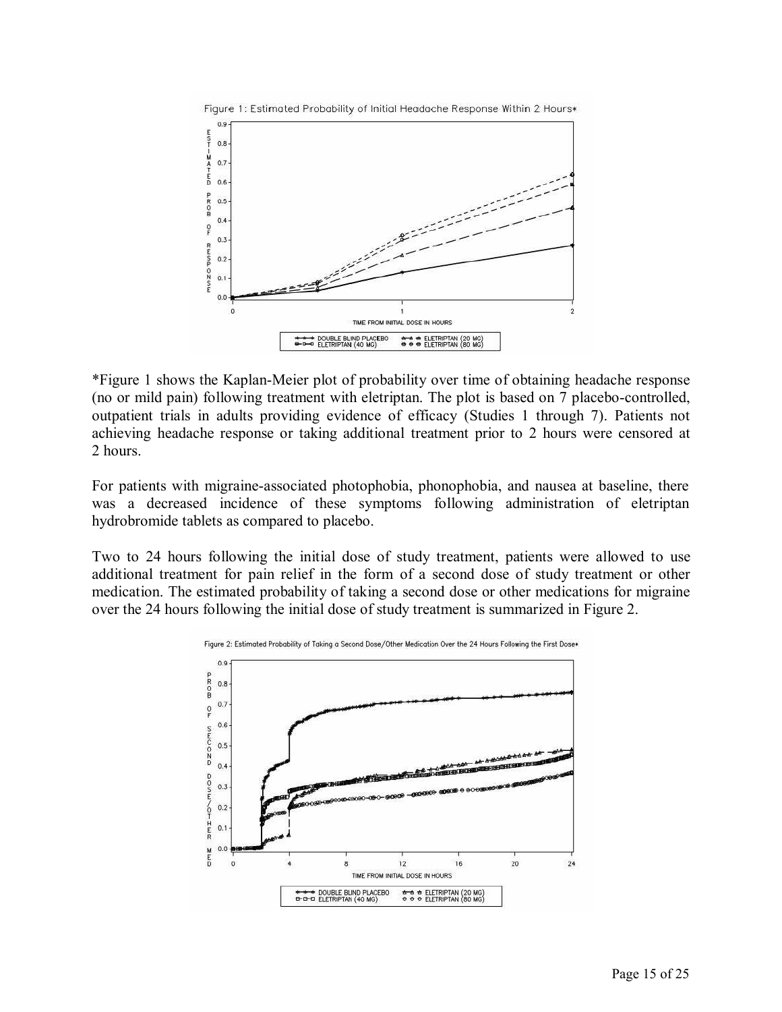<span id="page-14-0"></span>

\*Figure 1 shows the Kaplan-Meier plot of probability over time of obtaining headache response (no or mild pain) following treatment with eletriptan. The plot is based on 7 placebo-controlled, outpatient trials in adults providing evidence of efficacy (Studies 1 through 7). Patients not achieving headache response or taking additional treatment prior to 2 hours were censored at 2 hours.

For patients with migraine-associated photophobia, phonophobia, and nausea at baseline, there was a decreased incidence of these symptoms following administration of eletriptan hydrobromide tablets as compared to placebo.

Two to 24 hours following the initial dose of study treatment, patients were allowed to use additional treatment for pain relief in the form of a second dose of study treatment or other medication. The estimated probability of taking a second dose or other medications for migraine over the 24 hours following the initial dose of study treatment is summarized in Figure 2.



Figure 2: Estimated Probability of Taking a Second Dose/Other Medication Over the 24 Hours Following the First Dose\*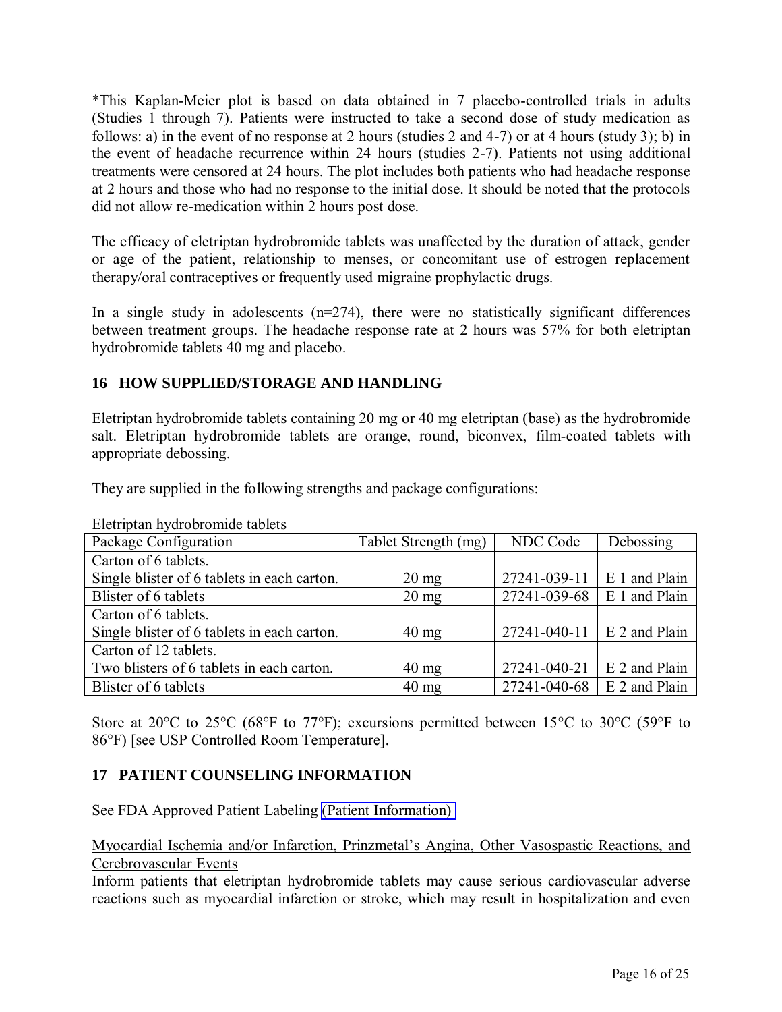<span id="page-15-0"></span>\*This Kaplan-Meier plot is based on data obtained in 7 placebo-controlled trials in adults (Studies 1 through 7). Patients were instructed to take a second dose of study medication as follows: a) in the event of no response at 2 hours (studies 2 and 4-7) or at 4 hours (study 3); b) in the event of headache recurrence within 24 hours (studies 2-7). Patients not using additional treatments were censored at 24 hours. The plot includes both patients who had headache response at 2 hours and those who had no response to the initial dose. It should be noted that the protocols did not allow re-medication within 2 hours post dose.

The efficacy of eletriptan hydrobromide tablets was unaffected by the duration of attack, gender or age of the patient, relationship to menses, or concomitant use of estrogen replacement therapy/oral contraceptives or frequently used migraine prophylactic drugs.

In a single study in adolescents  $(n=274)$ , there were no statistically significant differences between treatment groups. The headache response rate at 2 hours was 57% for both eletriptan hydrobromide tablets 40 mg and placebo.

# **16 HOW SUPPLIED/STORAGE AND HANDLING**

Eletriptan hydrobromide tablets containing 20 mg or 40 mg eletriptan (base) as the hydrobromide salt. Eletriptan hydrobromide tablets are orange, round, biconvex, film-coated tablets with appropriate debossing.

They are supplied in the following strengths and package configurations:

| Package Configuration                       | Tablet Strength (mg) | NDC Code                     | Debossing     |
|---------------------------------------------|----------------------|------------------------------|---------------|
| Carton of 6 tablets.                        |                      |                              |               |
| Single blister of 6 tablets in each carton. | $20 \text{ mg}$      | 27241-039-11   E 1 and Plain |               |
| Blister of 6 tablets                        | $20 \text{ mg}$      | 27241-039-68                 | E 1 and Plain |
| Carton of 6 tablets.                        |                      |                              |               |
| Single blister of 6 tablets in each carton. | $40 \text{ mg}$      | 27241-040-11 E 2 and Plain   |               |
| Carton of 12 tablets.                       |                      |                              |               |
| Two blisters of 6 tablets in each carton.   | $40 \text{ mg}$      | 27241-040-21                 | E 2 and Plain |
| Blister of 6 tablets                        | $40 \text{ mg}$      | 27241-040-68                 | E 2 and Plain |

Eletriptan hydrobromide tablets

Store at 20 $\degree$ C to 25 $\degree$ C (68 $\degree$ F to 77 $\degree$ F); excursions permitted between 15 $\degree$ C to 30 $\degree$ C (59 $\degree$ F to 86°F) [see USP Controlled Room Temperature].

## **17 PATIENT COUNSELING INFORMATION**

See FDA Approved Patient Labeling [\(Patient Information\)](#page-17-0) 

Myocardial Ischemia and/or Infarction, Prinzmetal's Angina, Other Vasospastic Reactions, and Cerebrovascular Events

Inform patients that eletriptan hydrobromide tablets may cause serious cardiovascular adverse reactions such as myocardial infarction or stroke, which may result in hospitalization and even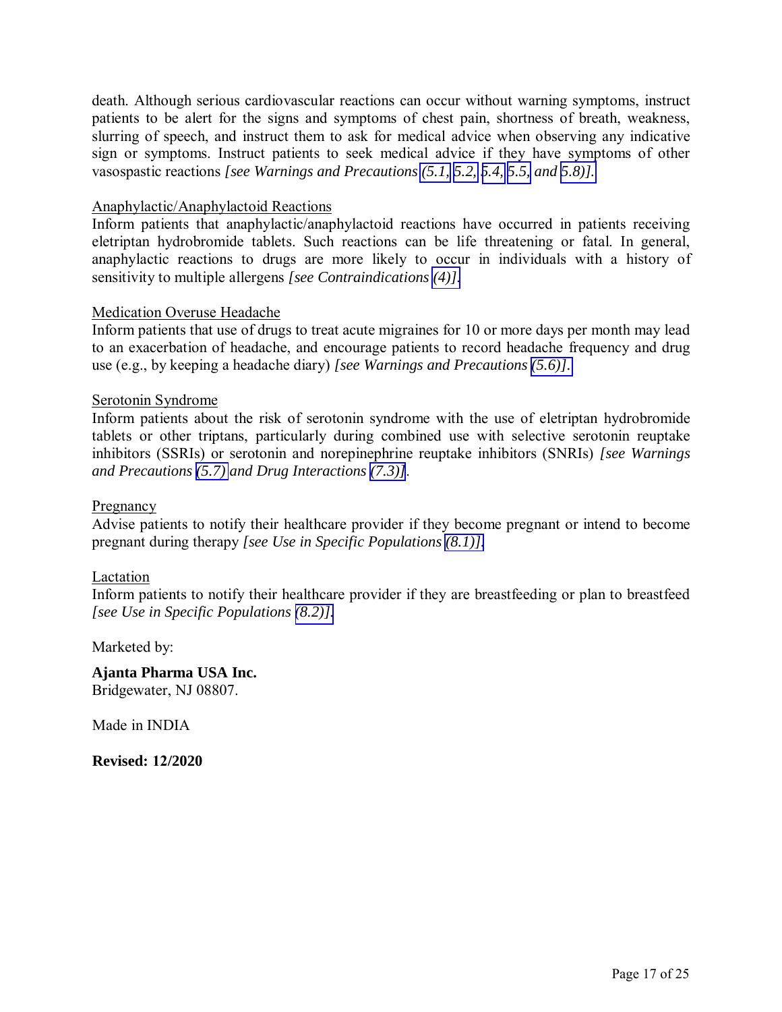death. Although serious cardiovascular reactions can occur without warning symptoms, instruct patients to be alert for the signs and symptoms of chest pain, shortness of breath, weakness, slurring of speech, and instruct them to ask for medical advice when observing any indicative sign or symptoms. Instruct patients to seek medical advice if they have symptoms of other vasospastic reactions *[see Warnings and Precautions [\(5.1, 5.2,](#page-2-1) [5.4, 5.5,](#page-3-1) and [5.8\)\].](#page-4-1)* 

#### Anaphylactic/Anaphylactoid Reactions

Inform patients that anaphylactic/anaphylactoid reactions have occurred in patients receiving eletriptan hydrobromide tablets. Such reactions can be life threatening or fatal. In general, anaphylactic reactions to drugs are more likely to occur in individuals with a history of sensitivity to multiple allergens *[see Contraindications [\(4\)\].](#page-1-1)* 

#### Medication Overuse Headache

Inform patients that use of drugs to treat acute migraines for 10 or more days per month may lead to an exacerbation of headache, and encourage patients to record headache frequency and drug use (e.g., by keeping a headache diary) *[see Warnings and Precautions [\(5.6\)\].](#page-3-1)* 

#### Serotonin Syndrome

Inform patients about the risk of serotonin syndrome with the use of eletriptan hydrobromide tablets or other triptans, particularly during combined use with selective serotonin reuptake inhibitors (SSRIs) or serotonin and norepinephrine reuptake inhibitors (SNRIs) *[see Warnings and Precautions [\(5.7\)](#page-3-1) and Drug Interactions [\(7.3\)\]](#page-6-2)*.

#### Pregnancy

Advise patients to notify their healthcare provider if they become pregnant or intend to become pregnant during therapy *[see Use in Specific Populations [\(8.1\)\].](#page-7-0)* 

#### Lactation

Inform patients to notify their healthcare provider if they are breastfeeding or plan to breastfeed *[see Use in Specific Populations [\(8.2\)\].](#page-8-0)* 

Marketed by:

**Ajanta Pharma USA Inc.**  Bridgewater, NJ 08807.

Made in INDIA

**Revised: 12/2020**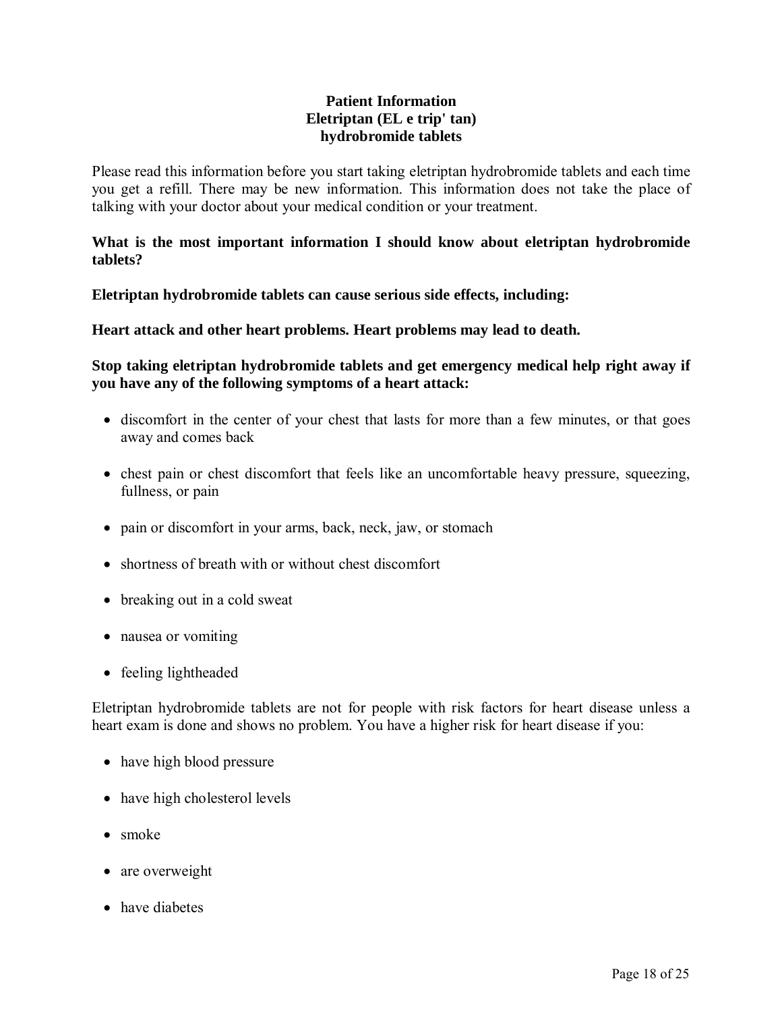## **Patient Information Eletriptan (EL e trip' tan) hydrobromide tablets**

<span id="page-17-0"></span>Please read this information before you start taking eletriptan hydrobromide tablets and each time you get a refill. There may be new information. This information does not take the place of talking with your doctor about your medical condition or your treatment.

### **What is the most important information I should know about eletriptan hydrobromide tablets?**

**Eletriptan hydrobromide tablets can cause serious side effects, including:** 

**Heart attack and other heart problems. Heart problems may lead to death.** 

**Stop taking eletriptan hydrobromide tablets and get emergency medical help right away if you have any of the following symptoms of a heart attack:** 

- discomfort in the center of your chest that lasts for more than a few minutes, or that goes away and comes back
- chest pain or chest discomfort that feels like an uncomfortable heavy pressure, squeezing, fullness, or pain
- pain or discomfort in your arms, back, neck, jaw, or stomach
- shortness of breath with or without chest discomfort
- breaking out in a cold sweat
- nausea or vomiting
- feeling lightheaded

Eletriptan hydrobromide tablets are not for people with risk factors for heart disease unless a heart exam is done and shows no problem. You have a higher risk for heart disease if you:

- have high blood pressure
- have high cholesterol levels
- smoke
- are overweight
- have diabetes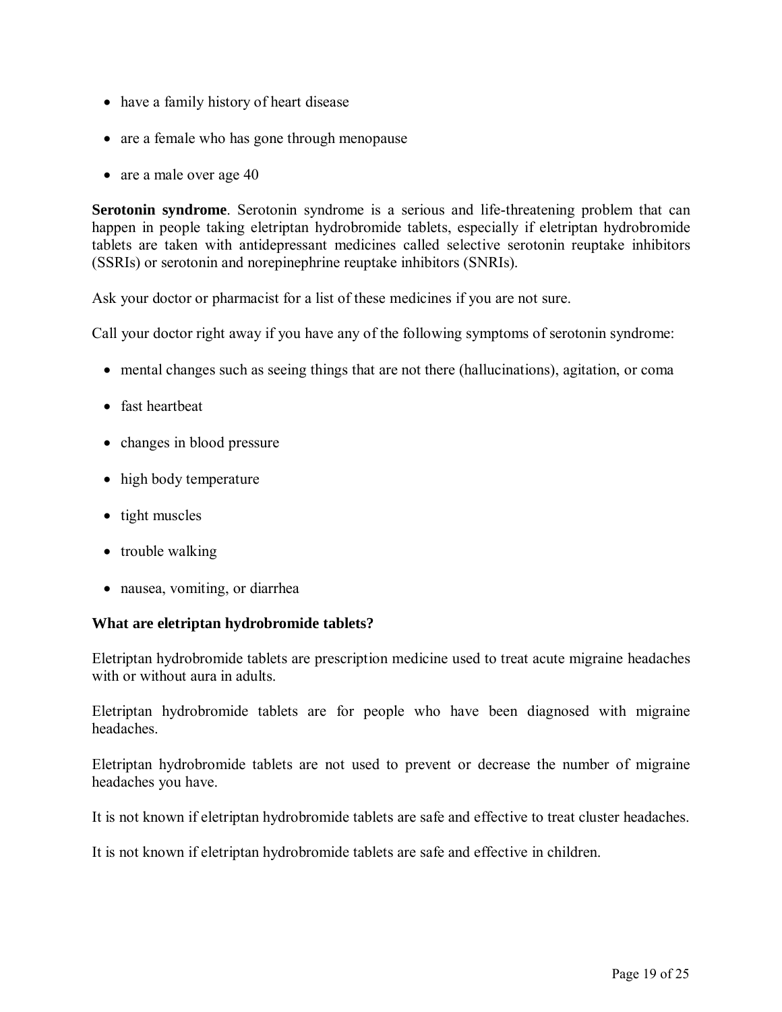- have a family history of heart disease
- are a female who has gone through menopause
- are a male over age 40

**Serotonin syndrome**. Serotonin syndrome is a serious and life-threatening problem that can happen in people taking eletriptan hydrobromide tablets, especially if eletriptan hydrobromide tablets are taken with antidepressant medicines called selective serotonin reuptake inhibitors (SSRIs) or serotonin and norepinephrine reuptake inhibitors (SNRIs).

Ask your doctor or pharmacist for a list of these medicines if you are not sure.

Call your doctor right away if you have any of the following symptoms of serotonin syndrome:

- mental changes such as seeing things that are not there (hallucinations), agitation, or coma
- fast heartheat
- changes in blood pressure
- high body temperature
- tight muscles
- trouble walking
- nausea, vomiting, or diarrhea

### **What are eletriptan hydrobromide tablets?**

Eletriptan hydrobromide tablets are prescription medicine used to treat acute migraine headaches with or without aura in adults.

Eletriptan hydrobromide tablets are for people who have been diagnosed with migraine headaches.

Eletriptan hydrobromide tablets are not used to prevent or decrease the number of migraine headaches you have.

It is not known if eletriptan hydrobromide tablets are safe and effective to treat cluster headaches.

It is not known if eletriptan hydrobromide tablets are safe and effective in children.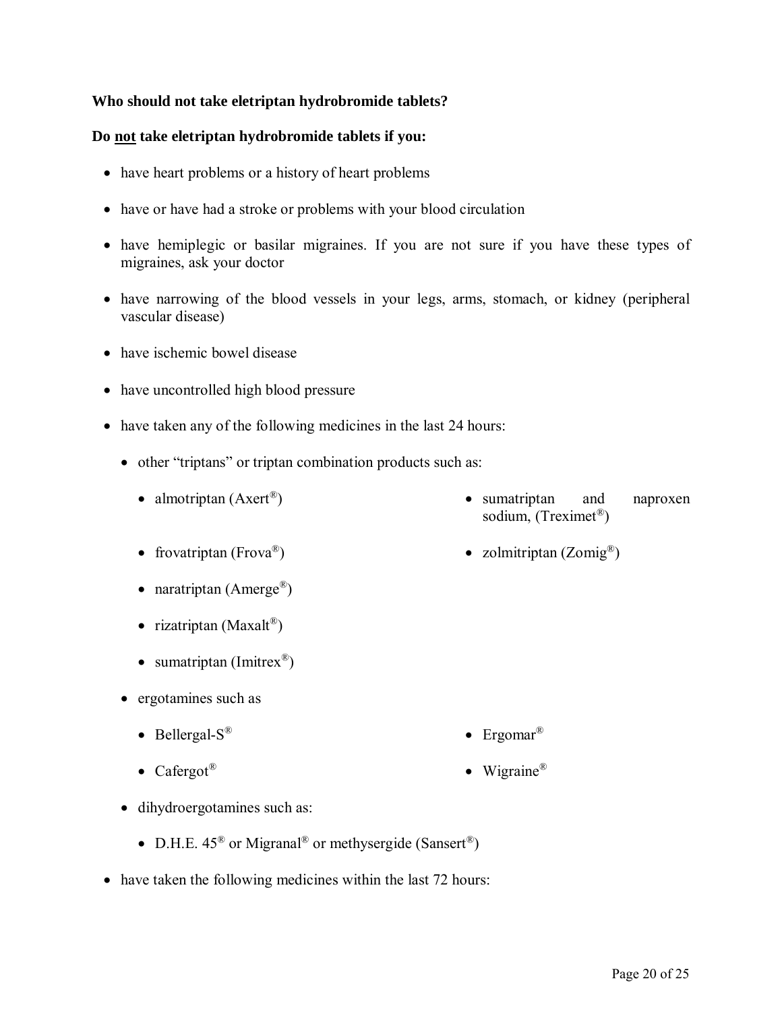## **Who should not take eletriptan hydrobromide tablets?**

### **Do not take eletriptan hydrobromide tablets if you:**

- have heart problems or a history of heart problems
- have or have had a stroke or problems with your blood circulation
- have hemiplegic or basilar migraines. If you are not sure if you have these types of migraines, ask your doctor
- have narrowing of the blood vessels in your legs, arms, stomach, or kidney (peripheral vascular disease)
- have ischemic bowel disease
- have uncontrolled high blood pressure
- have taken any of the following medicines in the last 24 hours:
	- other "triptans" or triptan combination products such as:
		- almotriptan  $(Axert^{\circledR})$ • sumatriptan and naproxen sodium, (Treximet® )
		- frovatriptan (Frova®) ) ● zolmitriptan (Zomig<sup>®</sup>)
		- rizatriptan (Maxalt®)

• naratriptan (Amerge®)

- sumatriptan (Imitrex®)
- ergotamines such as
	- Bellergal- $S^{\otimes}$ • Ergomar<sup>®</sup>
	- Cafergot<sup>®</sup> • Wigraine<sup>®</sup>
- dihydroergotamines such as:
	- D.H.E.  $45^{\circledR}$  or Migranal<sup>®</sup> or methysergide (Sansert<sup>®</sup>)
- have taken the following medicines within the last 72 hours: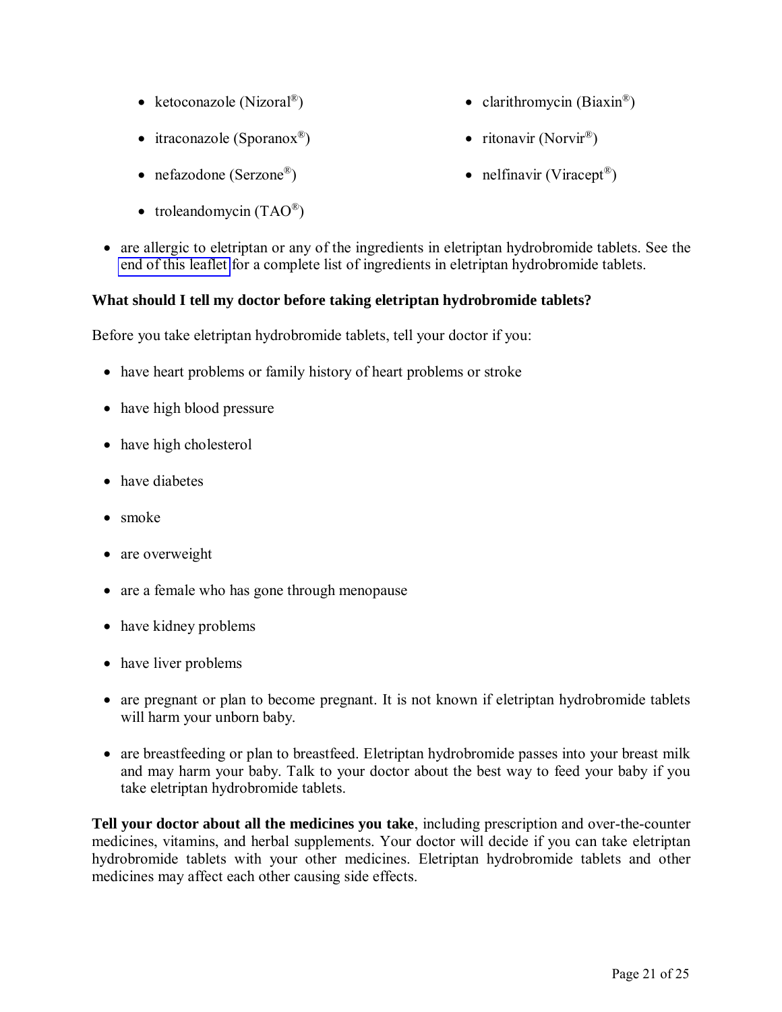- ketoconazole (Nizoral<sup>®</sup>)
- itraconazole (Sporanox<sup>®</sup>)
- nefazodone (Serzone<sup>®</sup>)
- troleandomycin  $(TAO^@)$
- ) clarithromycin (Biaxin<sup>®</sup>)
- ) ritonavir (Norvir<sup>®</sup>)
- ) nelfinavir (Viracept® )
- are allergic to eletriptan or any of the ingredients in eletriptan hydrobromide tablets. See the [end of this leaflet](#page-23-0) for a complete list of ingredients in eletriptan hydrobromide tablets.

## **What should I tell my doctor before taking eletriptan hydrobromide tablets?**

Before you take eletriptan hydrobromide tablets, tell your doctor if you:

- have heart problems or family history of heart problems or stroke
- have high blood pressure
- have high cholesterol
- have diabetes
- smoke
- are overweight
- are a female who has gone through menopause
- have kidney problems
- have liver problems
- are pregnant or plan to become pregnant. It is not known if eletriptan hydrobromide tablets will harm your unborn baby.
- are breastfeeding or plan to breastfeed. Eletriptan hydrobromide passes into your breast milk and may harm your baby. Talk to your doctor about the best way to feed your baby if you take eletriptan hydrobromide tablets.

**Tell your doctor about all the medicines you take**, including prescription and over-the-counter medicines, vitamins, and herbal supplements. Your doctor will decide if you can take eletriptan hydrobromide tablets with your other medicines. Eletriptan hydrobromide tablets and other medicines may affect each other causing side effects.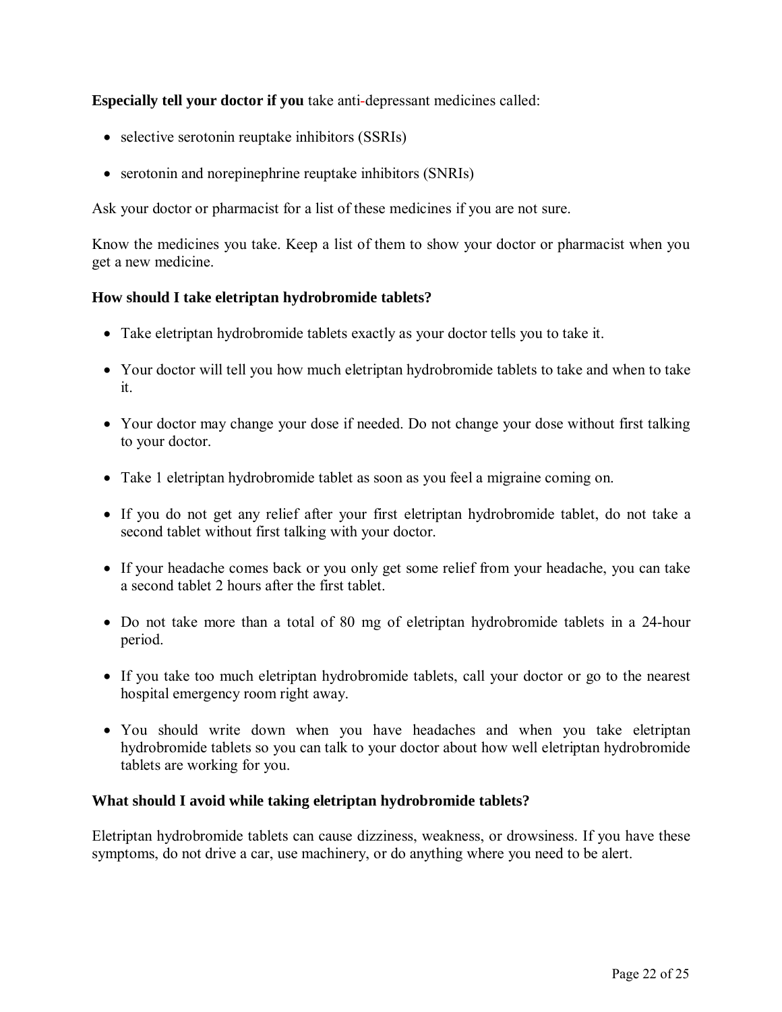**Especially tell your doctor if you** take anti-depressant medicines called:

- selective serotonin reuptake inhibitors (SSRIs)
- serotonin and norepinephrine reuptake inhibitors (SNRIs)

Ask your doctor or pharmacist for a list of these medicines if you are not sure.

Know the medicines you take. Keep a list of them to show your doctor or pharmacist when you get a new medicine.

## **How should I take eletriptan hydrobromide tablets?**

- Take eletriptan hydrobromide tablets exactly as your doctor tells you to take it.
- Your doctor will tell you how much eletriptan hydrobromide tablets to take and when to take it.
- Your doctor may change your dose if needed. Do not change your dose without first talking to your doctor.
- Take 1 eletriptan hydrobromide tablet as soon as you feel a migraine coming on.
- If you do not get any relief after your first eletriptan hydrobromide tablet, do not take a second tablet without first talking with your doctor.
- If your headache comes back or you only get some relief from your headache, you can take a second tablet 2 hours after the first tablet.
- Do not take more than a total of 80 mg of eletriptan hydrobromide tablets in a 24-hour period.
- If you take too much eletriptan hydrobromide tablets, call your doctor or go to the nearest hospital emergency room right away.
- You should write down when you have headaches and when you take eletriptan hydrobromide tablets so you can talk to your doctor about how well eletriptan hydrobromide tablets are working for you.

### **What should I avoid while taking eletriptan hydrobromide tablets?**

Eletriptan hydrobromide tablets can cause dizziness, weakness, or drowsiness. If you have these symptoms, do not drive a car, use machinery, or do anything where you need to be alert.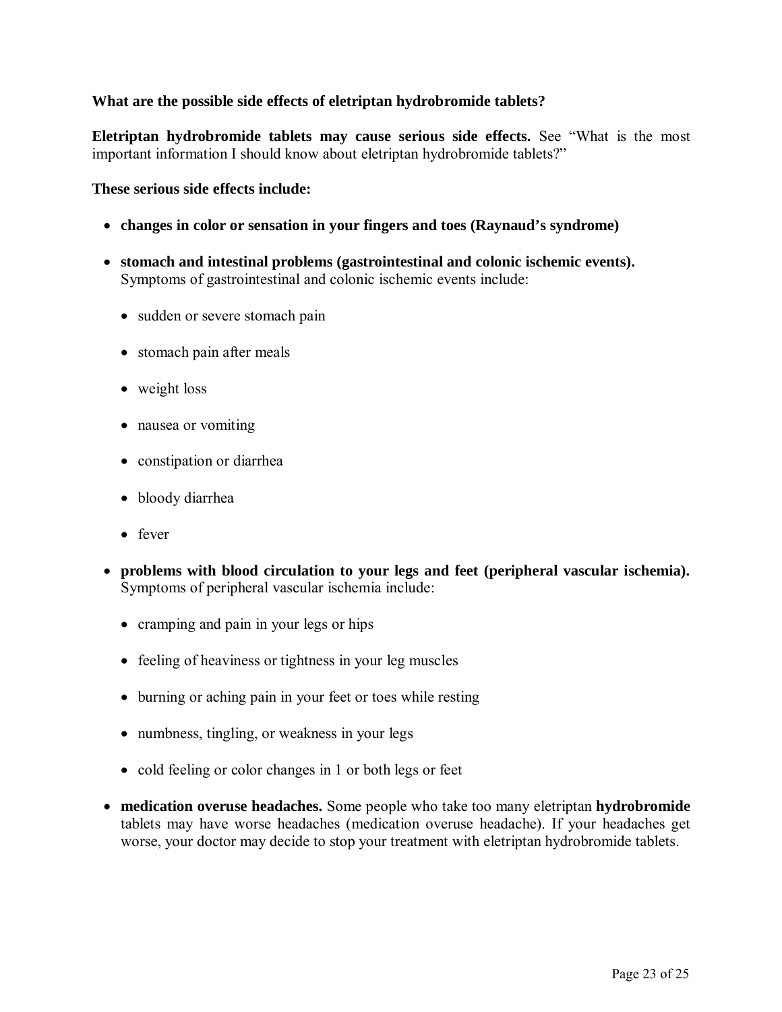## **What are the possible side effects of eletriptan hydrobromide tablets?**

**Eletriptan hydrobromide tablets may cause serious side effects.** See "What is the most important information I should know about eletriptan hydrobromide tablets?"

**These serious side effects include:** 

- **changes in color or sensation in your fingers and toes (Raynaud's syndrome)**
- **stomach and intestinal problems (gastrointestinal and colonic ischemic events).** Symptoms of gastrointestinal and colonic ischemic events include:
	- sudden or severe stomach pain
	- stomach pain after meals
	- weight loss
	- nausea or vomiting
	- constipation or diarrhea
	- bloody diarrhea
	- fever
- **problems with blood circulation to your legs and feet (peripheral vascular ischemia).** Symptoms of peripheral vascular ischemia include:
	- cramping and pain in your legs or hips
	- feeling of heaviness or tightness in your leg muscles
	- burning or aching pain in your feet or toes while resting
	- numbness, tingling, or weakness in your legs
	- cold feeling or color changes in 1 or both legs or feet
- **medication overuse headaches.** Some people who take too many eletriptan **hydrobromide** tablets may have worse headaches (medication overuse headache). If your headaches get worse, your doctor may decide to stop your treatment with eletriptan hydrobromide tablets.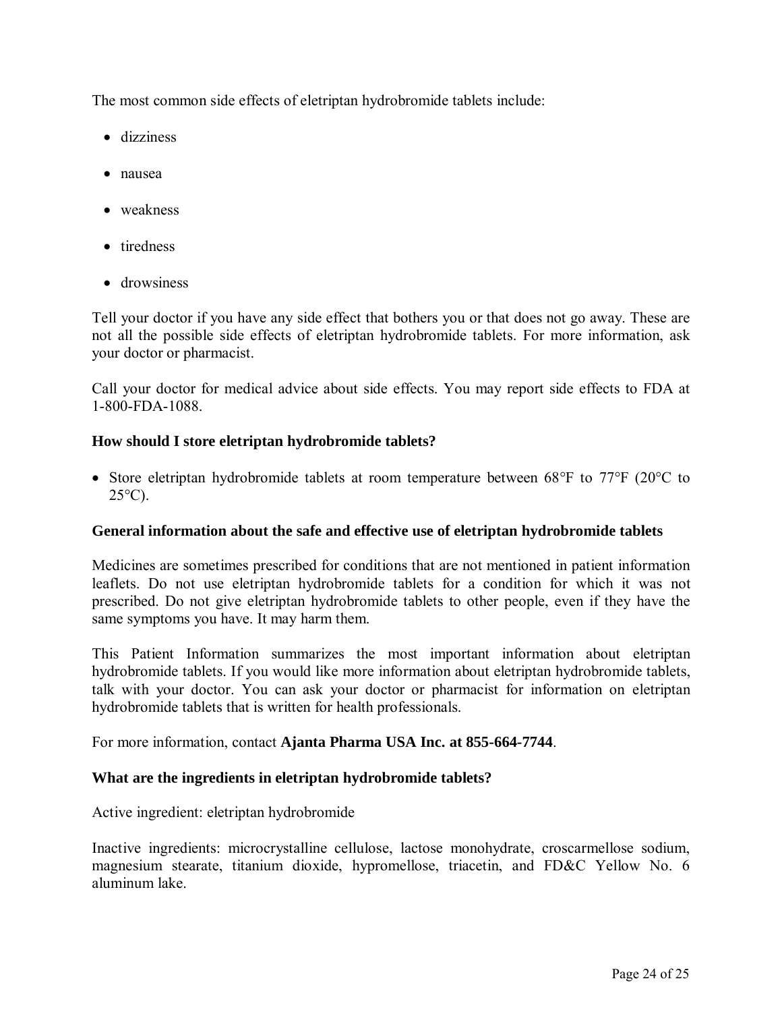<span id="page-23-0"></span>The most common side effects of eletriptan hydrobromide tablets include:

- dizziness
- nausea
- weakness
- tiredness
- drowsiness

Tell your doctor if you have any side effect that bothers you or that does not go away. These are not all the possible side effects of eletriptan hydrobromide tablets. For more information, ask your doctor or pharmacist.

Call your doctor for medical advice about side effects. You may report side effects to FDA at 1-800-FDA-1088.

### **How should I store eletriptan hydrobromide tablets?**

 Store eletriptan hydrobromide tablets at room temperature between 68°F to 77°F (20°C to  $25^{\circ}$ C).

#### **General information about the safe and effective use of eletriptan hydrobromide tablets**

Medicines are sometimes prescribed for conditions that are not mentioned in patient information leaflets. Do not use eletriptan hydrobromide tablets for a condition for which it was not prescribed. Do not give eletriptan hydrobromide tablets to other people, even if they have the same symptoms you have. It may harm them.

This Patient Information summarizes the most important information about eletriptan hydrobromide tablets. If you would like more information about eletriptan hydrobromide tablets, talk with your doctor. You can ask your doctor or pharmacist for information on eletriptan hydrobromide tablets that is written for health professionals.

For more information, contact **Ajanta Pharma USA Inc. at 855-664-7744**.

### **What are the ingredients in eletriptan hydrobromide tablets?**

Active ingredient: eletriptan hydrobromide

Inactive ingredients: microcrystalline cellulose, lactose monohydrate, croscarmellose sodium, magnesium stearate, titanium dioxide, hypromellose, triacetin, and FD&C Yellow No. 6 aluminum lake.